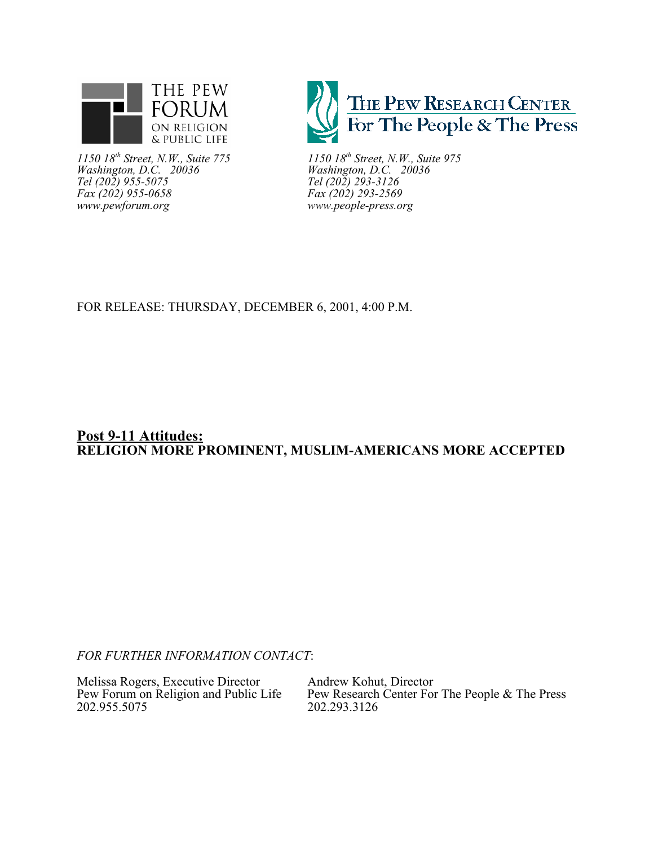

*1150 18th Street, N.W., Suite 775 1150 18th Street, N.W., Suite 975 Washington, D.C. 20036 Washington, D.C. 20036 The 18th Street, N.W., Suite 775*<br> *Tel (202) 955-5075 Tel (202) 955-6075*<br> *Tel (202) 955-5075 Tel (202) 293-3126*<br> *Tel (202) 293-2569*<br> *Tel (202) 293-2569 Fax (202) 955-0658*<br>www.pewforum.org



*www.pewforum.org www.people-press.org*

# FOR RELEASE: THURSDAY, DECEMBER 6, 2001, 4:00 P.M.

# **Post 9-11 Attitudes: RELIGION MORE PROMINENT, MUSLIM-AMERICANS MORE ACCEPTED**

*FOR FURTHER INFORMATION CONTACT*:

Melissa Rogers, Executive Director Andrew Kohut, Director Pew Forum on Religion and Public Life Pew Research Center For 202.955.5075

Pew Research Center For The People & The Press<br>202.293.3126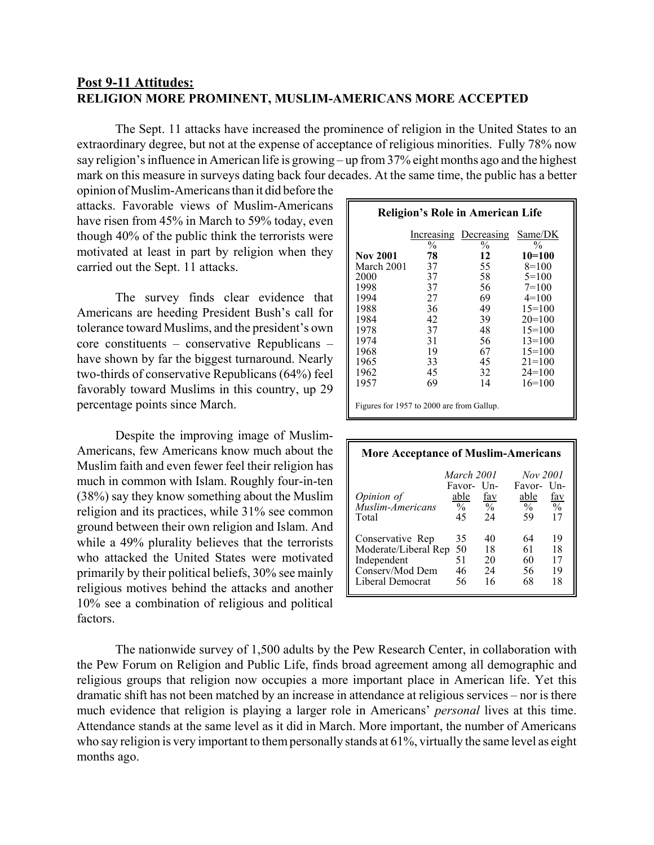# **Post 9-11 Attitudes: RELIGION MORE PROMINENT, MUSLIM-AMERICANS MORE ACCEPTED**

The Sept. 11 attacks have increased the prominence of religion in the United States to an extraordinary degree, but not at the expense of acceptance of religious minorities. Fully 78% now say religion's influence in American life is growing – up from 37% eight months ago and the highest mark on this measure in surveys dating back four decades. At the same time, the public has a better

opinion of Muslim-Americans than it did before the attacks. Favorable views of Muslim-Americans have risen from 45% in March to 59% today, even though 40% of the public think the terrorists were motivated at least in part by religion when they carried out the Sept. 11 attacks.

The survey finds clear evidence that Americans are heeding President Bush's call for tolerance toward Muslims, and the president's own core constituents – conservative Republicans – have shown by far the biggest turnaround. Nearly two-thirds of conservative Republicans (64%) feel favorably toward Muslims in this country, up 29 percentage points since March.

Despite the improving image of Muslim-Americans, few Americans know much about the Muslim faith and even fewer feel their religion has much in common with Islam. Roughly four-in-ten (38%) say they know something about the Muslim religion and its practices, while 31% see common ground between their own religion and Islam. And while a 49% plurality believes that the terrorists who attacked the United States were motivated primarily by their political beliefs, 30% see mainly religious motives behind the attacks and another 10% see a combination of religious and political factors.

| <b>Religion's Role in American Life</b>   |                     |                       |                           |  |  |  |  |  |
|-------------------------------------------|---------------------|-----------------------|---------------------------|--|--|--|--|--|
|                                           |                     | Increasing Decreasing | Same/DK                   |  |  |  |  |  |
| <b>Nov 2001</b>                           | $\frac{0}{0}$<br>78 | $\frac{0}{0}$<br>12   | $\frac{0}{0}$<br>$10=100$ |  |  |  |  |  |
| March 2001                                | 37                  | 55                    | $8=100$                   |  |  |  |  |  |
| 2000                                      | 37                  | 58                    | $5=100$                   |  |  |  |  |  |
| 1998                                      | 37                  | 56                    | $7=100$                   |  |  |  |  |  |
| 1994                                      | 27                  | 69                    | $4=100$                   |  |  |  |  |  |
| 1988                                      | 36                  | 49                    | $15=100$                  |  |  |  |  |  |
| 1984                                      | 42                  | 39                    | $20=100$                  |  |  |  |  |  |
| 1978                                      | 37                  | 48                    | $15=100$                  |  |  |  |  |  |
| 1974                                      | 31                  | 56                    | $13=100$                  |  |  |  |  |  |
| 1968                                      | 19                  | 67                    | $15=100$                  |  |  |  |  |  |
| 1965                                      | 33                  | 45                    | $21 = 100$                |  |  |  |  |  |
| 1962                                      | 45                  | 32                    | $24=100$                  |  |  |  |  |  |
| 1957                                      | 69                  | 14                    | $16=100$                  |  |  |  |  |  |
| Figures for 1957 to 2000 are from Gallup. |                     |                       |                           |  |  |  |  |  |

| <b>More Acceptance of Muslim-Americans</b> |                                                    |                             |              |                             |  |  |  |  |
|--------------------------------------------|----------------------------------------------------|-----------------------------|--------------|-----------------------------|--|--|--|--|
|                                            | March 2001<br>Nov 2001<br>Favor- Un-<br>Favor- Un- |                             |              |                             |  |  |  |  |
| Opinion of<br>Muslim-Americans             | able<br>$\%$                                       | <u>fav</u><br>$\frac{0}{6}$ | able<br>$\%$ | <u>fav</u><br>$\frac{0}{0}$ |  |  |  |  |
| Total                                      | 45                                                 | 24                          | 59           | 17                          |  |  |  |  |
| Conservative Rep                           | 35                                                 | 40                          | 64           | 19                          |  |  |  |  |
| Moderate/Liberal Rep                       | 50                                                 | 18                          | 61           | 18                          |  |  |  |  |
| Independent                                | 51                                                 | 20                          | 60           | 17                          |  |  |  |  |
| Conserv/Mod Dem                            | 46                                                 | 24                          | 56           | 19                          |  |  |  |  |
| Liberal Democrat                           | 56                                                 | 16                          | 68           | 18                          |  |  |  |  |

The nationwide survey of 1,500 adults by the Pew Research Center, in collaboration with the Pew Forum on Religion and Public Life, finds broad agreement among all demographic and religious groups that religion now occupies a more important place in American life. Yet this dramatic shift has not been matched by an increase in attendance at religious services – nor is there much evidence that religion is playing a larger role in Americans' *personal* lives at this time. Attendance stands at the same level as it did in March. More important, the number of Americans who say religion is very important to them personally stands at 61%, virtually the same level as eight months ago.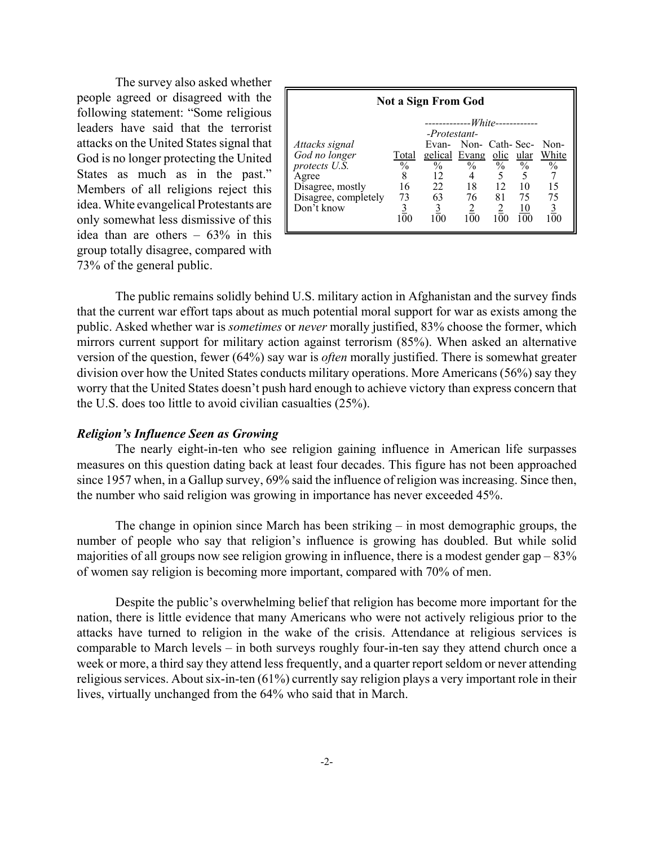The survey also asked whether people agreed or disagreed with the following statement: "Some religious leaders have said that the terrorist attacks on the United States signal that God is no longer protecting the United States as much as in the past." Members of all religions reject this idea. White evangelical Protestants are only somewhat less dismissive of this idea than are others  $-63\%$  in this group totally disagree, compared with 73% of the general public.

| <b>Not a Sign From God</b> |               |                               |                             |               |               |                |  |  |
|----------------------------|---------------|-------------------------------|-----------------------------|---------------|---------------|----------------|--|--|
|                            |               | -Protestant-                  | -------------White--------- |               |               |                |  |  |
| Attacks signal             |               |                               | Evan- Non- Cath-Sec- Non-   |               |               |                |  |  |
| God no longer              | Total         | gelical Evang olic ular White |                             |               |               |                |  |  |
| protects U.S.              | $\frac{0}{0}$ | $\frac{0}{0}$                 | $\frac{0}{0}$               | $\frac{0}{0}$ | $\frac{0}{0}$ | $\frac{0}{0}$  |  |  |
| Agree                      |               | 12                            | 4                           |               | 5             |                |  |  |
| Disagree, mostly           | 16            | 22                            | 18                          | 12            | 10            | 15             |  |  |
| Disagree, completely       | 73            | 63                            | 76                          | 81            | 75            | 75             |  |  |
| Don't know                 | 3             |                               |                             |               | <u>10</u>     | 0 <sup>0</sup> |  |  |

The public remains solidly behind U.S. military action in Afghanistan and the survey finds that the current war effort taps about as much potential moral support for war as exists among the public. Asked whether war is *sometimes* or *never* morally justified, 83% choose the former, which mirrors current support for military action against terrorism (85%). When asked an alternative version of the question, fewer (64%) say war is *often* morally justified. There is somewhat greater division over how the United States conducts military operations. More Americans (56%) say they worry that the United States doesn't push hard enough to achieve victory than express concern that the U.S. does too little to avoid civilian casualties (25%).

## *Religion's Influence Seen as Growing*

The nearly eight-in-ten who see religion gaining influence in American life surpasses measures on this question dating back at least four decades. This figure has not been approached since 1957 when, in a Gallup survey, 69% said the influence of religion was increasing. Since then, the number who said religion was growing in importance has never exceeded 45%.

The change in opinion since March has been striking – in most demographic groups, the number of people who say that religion's influence is growing has doubled. But while solid majorities of all groups now see religion growing in influence, there is a modest gender gap – 83% of women say religion is becoming more important, compared with 70% of men.

Despite the public's overwhelming belief that religion has become more important for the nation, there is little evidence that many Americans who were not actively religious prior to the attacks have turned to religion in the wake of the crisis. Attendance at religious services is comparable to March levels – in both surveys roughly four-in-ten say they attend church once a week or more, a third say they attend less frequently, and a quarter report seldom or never attending religious services. About six-in-ten (61%) currently say religion plays a very important role in their lives, virtually unchanged from the 64% who said that in March.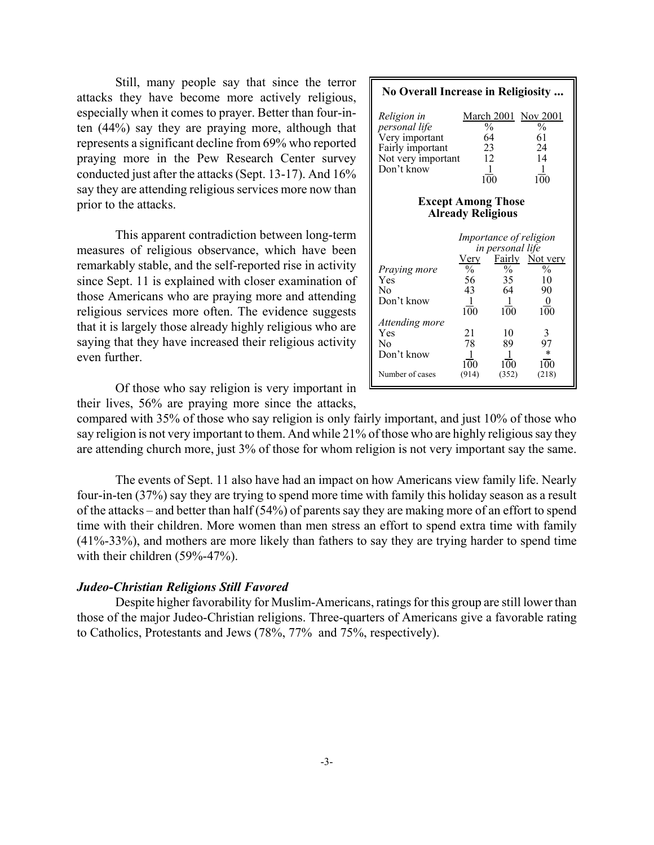Still, many people say that since the terror attacks they have become more actively religious, especially when it comes to prayer. Better than four-inten (44%) say they are praying more, although that represents a significant decline from 69% who reported praying more in the Pew Research Center survey conducted just after the attacks (Sept. 13-17). And 16% say they are attending religious services more now than prior to the attacks.

This apparent contradiction between long-term measures of religious observance, which have been remarkably stable, and the self-reported rise in activity since Sept. 11 is explained with closer examination of those Americans who are praying more and attending religious services more often. The evidence suggests that it is largely those already highly religious who are saying that they have increased their religious activity even further.

**No Overall Increase in Religiosity ...** *Religion in* March 2001 Nov 2001 *personal life*  $\frac{96}{\sqrt{6}}$   $\frac{96}{\sqrt{6}}$ <br>Very important 64 61 Very important  $\begin{array}{ccc} 64 & 61 \\ \text{Fairly important} & 23 & 24 \end{array}$ Fairly important 23 24<br>Not very important 12 14 Not very important Don't know  $\frac{1}{100}$   $\frac{1}{100}$  $100$ **Except Among Those Already Religious** *Importance of religion in personal life*  $\frac{\text{Very}}{\frac{6}{9}}$  Fairly Not very *Praying more*  $\frac{\%}{56}$   $\frac{\%}{35}$  10 Yes 56 35 10 No 43 64 90 Don't know  $\frac{1}{100}$   $\frac{1}{100}$   $\frac{0}{100}$  $100$ *Attending more* Yes 21 10 3 No 78 89 97 Don't know  $\frac{1}{100}$   $\frac{1}{100}$   $\frac{*}{100}$  $\overline{100}$   $\overline{100}$   $\overline{100}$   $\overline{100}$ <br>(914) (352) (218) Number of cases

Of those who say religion is very important in their lives, 56% are praying more since the attacks,

compared with 35% of those who say religion is only fairly important, and just 10% of those who say religion is not very important to them. And while 21% of those who are highly religious say they are attending church more, just 3% of those for whom religion is not very important say the same.

The events of Sept. 11 also have had an impact on how Americans view family life. Nearly four-in-ten (37%) say they are trying to spend more time with family this holiday season as a result of the attacks – and better than half (54%) of parents say they are making more of an effort to spend time with their children. More women than men stress an effort to spend extra time with family (41%-33%), and mothers are more likely than fathers to say they are trying harder to spend time with their children (59%-47%).

## *Judeo-Christian Religions Still Favored*

Despite higher favorability for Muslim-Americans, ratings for this group are still lower than those of the major Judeo-Christian religions. Three-quarters of Americans give a favorable rating to Catholics, Protestants and Jews (78%, 77% and 75%, respectively).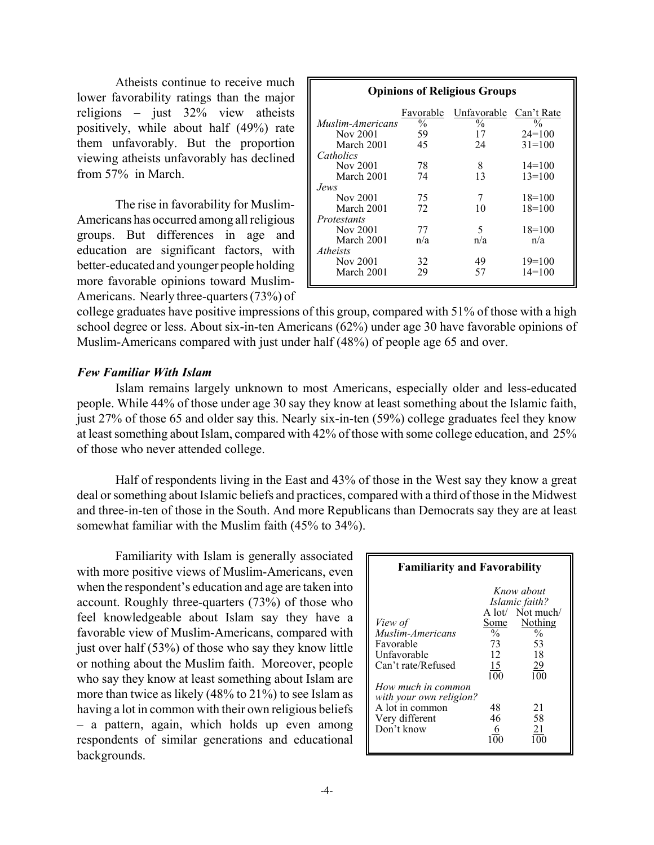Atheists continue to receive much lower favorability ratings than the major religions – just 32% view atheists positively, while about half (49%) rate them unfavorably. But the proportion viewing atheists unfavorably has declined from 57% in March.

The rise in favorability for Muslim-Americans has occurred among all religious groups. But differences in age and education are significant factors, with better-educated and younger people holding more favorable opinions toward Muslim-Americans. Nearly three-quarters (73%) of

| <b>Opinions of Religious Groups</b> |               |                        |               |  |  |  |  |  |
|-------------------------------------|---------------|------------------------|---------------|--|--|--|--|--|
|                                     | Favorable     | Unfavorable Can't Rate |               |  |  |  |  |  |
| Muslim-Americans                    | $\frac{0}{0}$ | $\frac{0}{0}$          | $\frac{0}{0}$ |  |  |  |  |  |
| Nov 2001                            | 59            | 17                     | $24=100$      |  |  |  |  |  |
| March 2001                          | 45            | 24                     | $31 = 100$    |  |  |  |  |  |
| Catholics                           |               |                        |               |  |  |  |  |  |
| Nov 2001                            | 78            | 8                      | $14=100$      |  |  |  |  |  |
| March 2001                          | 74            | 13                     | $13=100$      |  |  |  |  |  |
| Jews.                               |               |                        |               |  |  |  |  |  |
| Nov 2001                            | 75            | 7                      | $18=100$      |  |  |  |  |  |
| March 2001                          | 72            | 10                     | $18=100$      |  |  |  |  |  |
| <i>Protestants</i>                  |               |                        |               |  |  |  |  |  |
| Nov 2001                            | 77            | 5                      | $18=100$      |  |  |  |  |  |
| March 2001                          | n/a           | n/a                    | n/a           |  |  |  |  |  |
| Atheists                            |               |                        |               |  |  |  |  |  |
| Nov 2001                            | 32            | 49                     | $19=100$      |  |  |  |  |  |
| March 2001                          | 29            | 57                     | $14=100$      |  |  |  |  |  |

college graduates have positive impressions of this group, compared with 51% of those with a high school degree or less. About six-in-ten Americans (62%) under age 30 have favorable opinions of Muslim-Americans compared with just under half (48%) of people age 65 and over.

# *Few Familiar With Islam*

Islam remains largely unknown to most Americans, especially older and less-educated people. While 44% of those under age 30 say they know at least something about the Islamic faith, just 27% of those 65 and older say this. Nearly six-in-ten (59%) college graduates feel they know at least something about Islam, compared with 42% of those with some college education, and 25% of those who never attended college.

Half of respondents living in the East and 43% of those in the West say they know a great deal or something about Islamic beliefs and practices, compared with a third of those in the Midwest and three-in-ten of those in the South. And more Republicans than Democrats say they are at least somewhat familiar with the Muslim faith (45% to 34%).

Familiarity with Islam is generally associated with more positive views of Muslim-Americans, even when the respondent's education and age are taken into account. Roughly three-quarters (73%) of those who feel knowledgeable about Islam say they have a favorable view of Muslim-Americans, compared with just over half (53%) of those who say they know little or nothing about the Muslim faith. Moreover, people who say they know at least something about Islam are more than twice as likely (48% to 21%) to see Islam as having a lot in common with their own religious beliefs – a pattern, again, which holds up even among respondents of similar generations and educational backgrounds.

| <b>Familiarity and Favorability</b>                                                                                                                                               |                                                                              |                                                                                                                                |  |  |  |  |  |
|-----------------------------------------------------------------------------------------------------------------------------------------------------------------------------------|------------------------------------------------------------------------------|--------------------------------------------------------------------------------------------------------------------------------|--|--|--|--|--|
| View of<br>Muslim-Americans<br>Favorable<br>Unfavorable<br>Can't rate/Refused<br>How much in common<br>with your own religion?<br>A lot in common<br>Very different<br>Don't know | Some<br>$\frac{0}{0}$<br>73<br>12<br>15<br>$\overline{100}$<br>48<br>46<br>6 | Know about<br>Islamic faith?<br>A lot/ Not much/<br>Nothing<br>$\frac{0}{0}$<br>53<br>18<br>$\frac{29}{100}$<br>21<br>58<br>21 |  |  |  |  |  |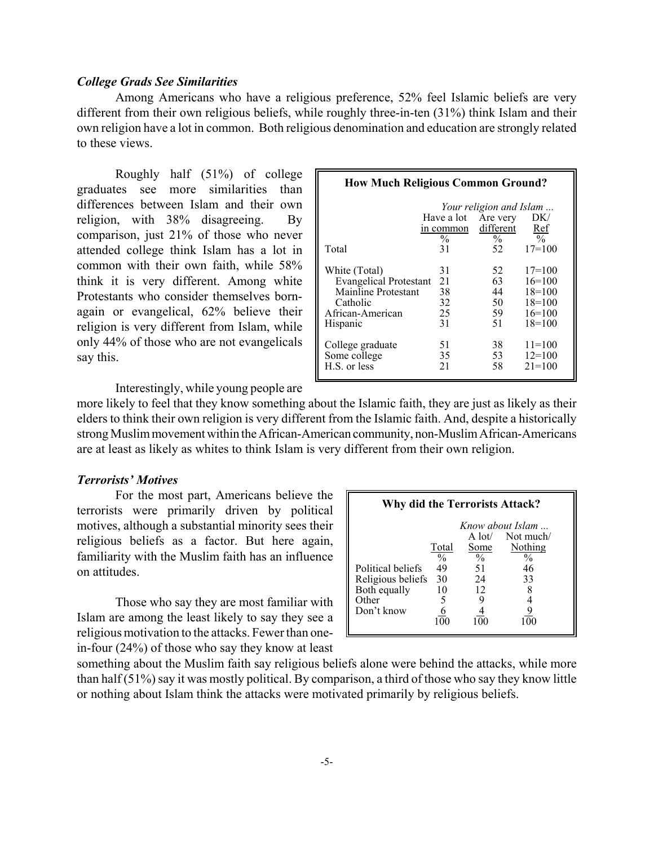## *College Grads See Similarities*

Among Americans who have a religious preference, 52% feel Islamic beliefs are very different from their own religious beliefs, while roughly three-in-ten (31%) think Islam and their own religion have a lot in common. Both religious denomination and education are strongly related to these views.

Roughly half (51%) of college graduates see more similarities than differences between Islam and their own religion, with 38% disagreeing. By comparison, just 21% of those who never attended college think Islam has a lot in common with their own faith, while 58% think it is very different. Among white Protestants who consider themselves bornagain or evangelical, 62% believe their religion is very different from Islam, while only 44% of those who are not evangelicals say this.

| <b>How Much Religious Common Ground?</b>                                                                          |                                                |                                   |                                                                      |  |  |  |  |  |
|-------------------------------------------------------------------------------------------------------------------|------------------------------------------------|-----------------------------------|----------------------------------------------------------------------|--|--|--|--|--|
|                                                                                                                   | Your religion and Islam<br>Have a lot Are very |                                   |                                                                      |  |  |  |  |  |
|                                                                                                                   | in common<br>$\frac{0}{0}$                     | different<br>$\frac{0}{0}$        | DK/<br>Ref<br>$\sqrt{0}$                                             |  |  |  |  |  |
| Total                                                                                                             | 31                                             | 52                                | $17=100$                                                             |  |  |  |  |  |
| White (Total)<br><b>Evangelical Protestant</b><br>Mainline Protestant<br>Catholic<br>African-American<br>Hispanic | 31<br>21<br>38<br>32<br>25<br>31               | 52<br>63<br>44<br>50<br>59.<br>51 | $17=100$<br>$16=100$<br>$18=100$<br>$18=100$<br>$16=100$<br>$18=100$ |  |  |  |  |  |
| College graduate<br>Some college<br>H.S. or less                                                                  | 51<br>35<br>21                                 | 38<br>53<br>58                    | $11 = 100$<br>$12=100$<br>$21 = 100$                                 |  |  |  |  |  |

Interestingly, while young people are

more likely to feel that they know something about the Islamic faith, they are just as likely as their elders to think their own religion is very different from the Islamic faith. And, despite a historically strong Muslim movement within the African-American community, non-Muslim African-Americans are at least as likely as whites to think Islam is very different from their own religion.

## *Terrorists' Motives*

For the most part, Americans believe the terrorists were primarily driven by political motives, although a substantial minority sees their religious beliefs as a factor. But here again, familiarity with the Muslim faith has an influence on attitudes.

Those who say they are most familiar with Islam are among the least likely to say they see a religious motivation to the attacks. Fewer than onein-four (24%) of those who say they know at least

| <b>Why did the Terrorists Attack?</b>                                         |                                               |                                         |                                                                               |  |  |  |  |  |  |
|-------------------------------------------------------------------------------|-----------------------------------------------|-----------------------------------------|-------------------------------------------------------------------------------|--|--|--|--|--|--|
| Political beliefs<br>Religious beliefs<br>Both equally<br>Other<br>Don't know | Total<br>$\frac{0}{0}$<br>49<br>30<br>10<br>5 | Some<br>$\frac{0}{0}$<br>51<br>24<br>12 | Know about Islam<br>$A lot$ Not much/<br>Nothing<br>$\frac{0}{0}$<br>46<br>33 |  |  |  |  |  |  |

something about the Muslim faith say religious beliefs alone were behind the attacks, while more than half (51%) say it was mostly political. By comparison, a third of those who say they know little or nothing about Islam think the attacks were motivated primarily by religious beliefs.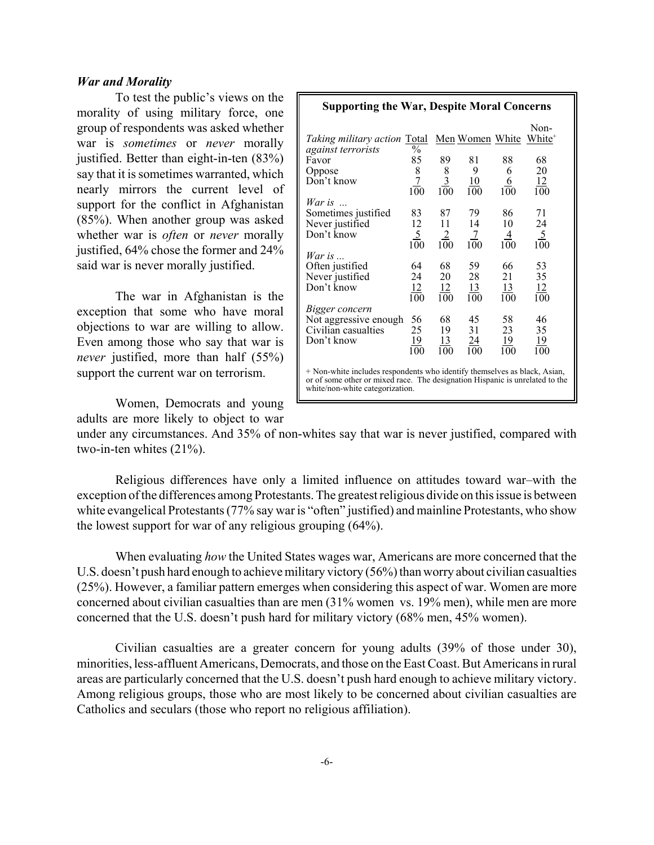## *War and Morality*

To test the public's views on the morality of using military force, one group of respondents was asked whether war is *sometimes* or *never* morally justified. Better than eight-in-ten (83%) say that it is sometimes warranted, which nearly mirrors the current level of support for the conflict in Afghanistan (85%). When another group was asked whether war is *often* or *never* morally justified, 64% chose the former and 24% said war is never morally justified.

The war in Afghanistan is the exception that some who have moral objections to war are willing to allow. Even among those who say that war is *never* justified, more than half (55%) support the current war on terrorism.

| <b>Supporting the War, Despite Moral Concerns</b>                                                                                                                                            |                       |                                                     |                                   |                              |                            |  |  |  |
|----------------------------------------------------------------------------------------------------------------------------------------------------------------------------------------------|-----------------------|-----------------------------------------------------|-----------------------------------|------------------------------|----------------------------|--|--|--|
| <i>Taking military action</i> <b>Total</b>                                                                                                                                                   |                       |                                                     | Men Women White                   |                              | Non-<br>White <sup>+</sup> |  |  |  |
| against terrorists                                                                                                                                                                           | $\%$                  |                                                     |                                   |                              |                            |  |  |  |
| Favor                                                                                                                                                                                        | 85                    | 89                                                  | 81                                | 88                           | 68                         |  |  |  |
| Oppose                                                                                                                                                                                       | 8                     |                                                     | 9                                 | 6                            | 20                         |  |  |  |
| Don't know                                                                                                                                                                                   | $\overline{7}$<br>100 | $\begin{array}{c}\n8 \\ \frac{3}{100}\n\end{array}$ | 10<br>100                         | <u>6</u><br>$1\overline{0}0$ | <u>12</u><br>100           |  |  |  |
| War is $\ldots$                                                                                                                                                                              |                       |                                                     |                                   |                              |                            |  |  |  |
| Sometimes justified                                                                                                                                                                          | 83                    | 87                                                  | 79                                | 86                           | 71                         |  |  |  |
| Never justified                                                                                                                                                                              | 12                    | 11                                                  | 14                                | 10                           | 24                         |  |  |  |
| Don't know                                                                                                                                                                                   | $\frac{5}{100}$       | $\frac{2}{100}$                                     | $\mathcal{I}$<br>$1\overline{0}0$ | 4<br>100                     | $\frac{5}{100}$            |  |  |  |
| War is $\ldots$                                                                                                                                                                              |                       |                                                     |                                   |                              |                            |  |  |  |
| Often justified                                                                                                                                                                              | 64                    | 68                                                  | 59                                | 66                           | 53                         |  |  |  |
| Never justified                                                                                                                                                                              | 24                    | 20                                                  | 28                                | 21                           | 35                         |  |  |  |
| Don't know                                                                                                                                                                                   | <u>12</u>             | <u>12</u>                                           | <u>13</u>                         | <u>13</u>                    | <u>12</u>                  |  |  |  |
|                                                                                                                                                                                              | 100                   | 100                                                 | 100                               | 100                          | 100                        |  |  |  |
| Bigger concern                                                                                                                                                                               |                       |                                                     |                                   |                              |                            |  |  |  |
| Not aggressive enough                                                                                                                                                                        | 56                    | 68                                                  | 45                                | 58                           | 46                         |  |  |  |
| Civilian casualties                                                                                                                                                                          | 25                    | 19                                                  | 31                                | 23                           | 35                         |  |  |  |
| Don't know                                                                                                                                                                                   | <u>19</u>             | <u>13</u>                                           | <u>24</u>                         | <u> 19</u>                   | <u> 19</u>                 |  |  |  |
|                                                                                                                                                                                              | 100                   | $\overline{100}$                                    | 100                               | 100                          | 100                        |  |  |  |
| + Non-white includes respondents who identify themselves as black, Asian,<br>or of some other or mixed race. The designation Hispanic is unrelated to the<br>white/non-white categorization. |                       |                                                     |                                   |                              |                            |  |  |  |

Women, Democrats and young adults are more likely to object to war

under any circumstances. And 35% of non-whites say that war is never justified, compared with two-in-ten whites (21%).

Religious differences have only a limited influence on attitudes toward war–with the exception of the differences among Protestants. The greatest religious divide on this issue is between white evangelical Protestants (77% say war is "often" justified) and mainline Protestants, who show the lowest support for war of any religious grouping (64%).

When evaluating *how* the United States wages war, Americans are more concerned that the U.S. doesn't push hard enough to achieve military victory (56%) than worry about civilian casualties (25%). However, a familiar pattern emerges when considering this aspect of war. Women are more concerned about civilian casualties than are men (31% women vs. 19% men), while men are more concerned that the U.S. doesn't push hard for military victory (68% men, 45% women).

Civilian casualties are a greater concern for young adults (39% of those under 30), minorities, less-affluent Americans, Democrats, and those on the East Coast. But Americans in rural areas are particularly concerned that the U.S. doesn't push hard enough to achieve military victory. Among religious groups, those who are most likely to be concerned about civilian casualties are Catholics and seculars (those who report no religious affiliation).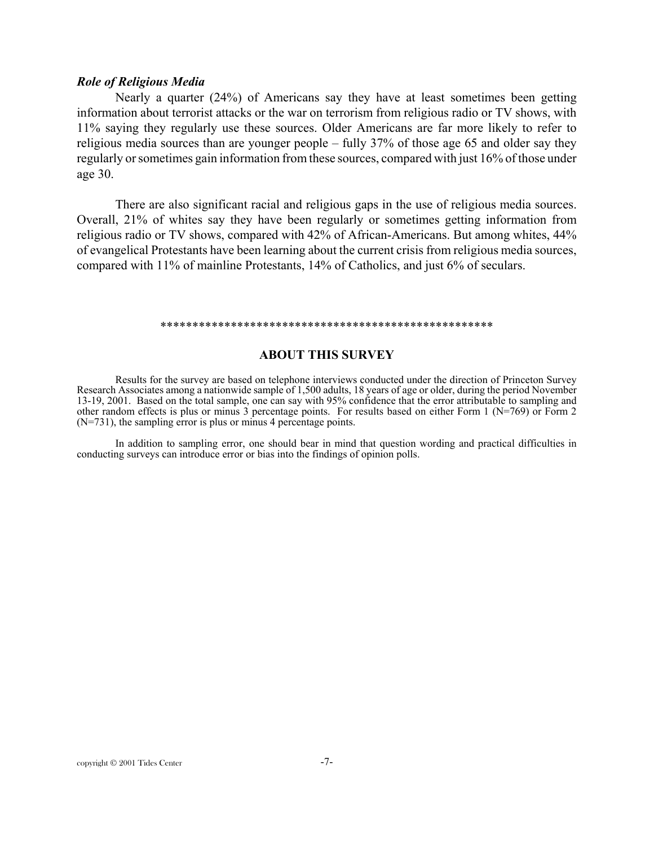### *Role of Religious Media*

Nearly a quarter (24%) of Americans say they have at least sometimes been getting information about terrorist attacks or the war on terrorism from religious radio or TV shows, with 11% saying they regularly use these sources. Older Americans are far more likely to refer to religious media sources than are younger people – fully 37% of those age 65 and older say they regularly or sometimes gain information from these sources, compared with just 16% of those under age 30.

There are also significant racial and religious gaps in the use of religious media sources. Overall, 21% of whites say they have been regularly or sometimes getting information from religious radio or TV shows, compared with 42% of African-Americans. But among whites, 44% of evangelical Protestants have been learning about the current crisis from religious media sources, compared with 11% of mainline Protestants, 14% of Catholics, and just 6% of seculars.

#### \*\*\*\*\*\*\*\*\*\*\*\*\*\*\*\*\*\*\*\*\*\*\*\*\*\*\*\*\*\*\*\*\*\*\*\*\*\*\*\*\*\*\*\*\*\*\*\*\*\*\*\*

### **ABOUT THIS SURVEY**

Results for the survey are based on telephone interviews conducted under the direction of Princeton Survey Research Associates among a nationwide sample of 1,500 adults, 18 years of age or older, during the period November 13-19, 2001. Based on the total sample, one can say with 95% confidence that the error attributable to sampling and other random effects is plus or minus 3 percentage points. For results based on either Form 1 ( $N=769$ ) or Form 2 (N=731), the sampling error is plus or minus 4 percentage points.

In addition to sampling error, one should bear in mind that question wording and practical difficulties in conducting surveys can introduce error or bias into the findings of opinion polls.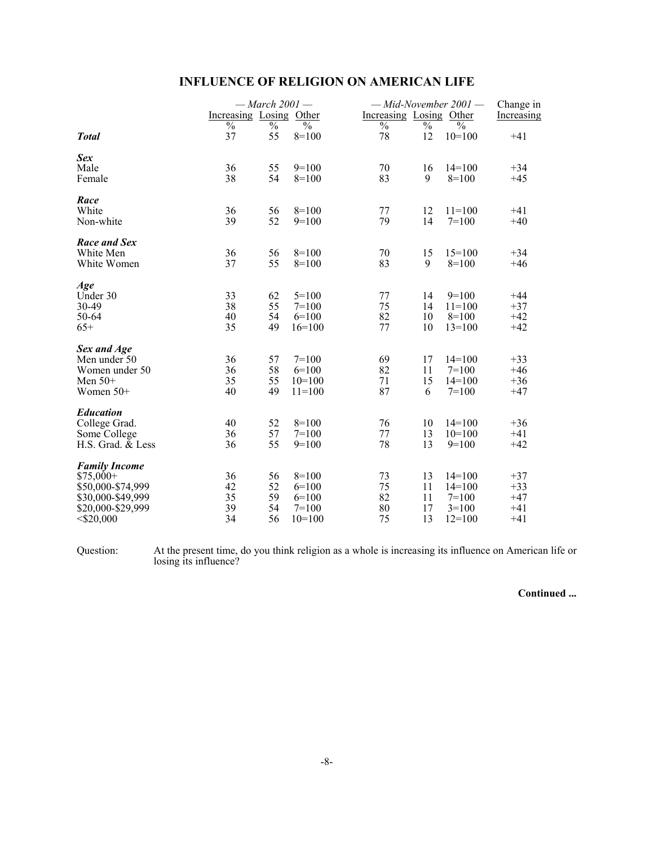| <b>INFLUENCE OF RELIGION ON AMERICAN LIFE</b> |  |  |  |  |  |  |  |
|-----------------------------------------------|--|--|--|--|--|--|--|
|-----------------------------------------------|--|--|--|--|--|--|--|

|                                                                                                                   | Increasing Losing Other    | $-March$ 2001 $-$          |                                                      | Increasing Losing Other    |                            | $-Mid-November 2001$ -                                 | Change in                                 |
|-------------------------------------------------------------------------------------------------------------------|----------------------------|----------------------------|------------------------------------------------------|----------------------------|----------------------------|--------------------------------------------------------|-------------------------------------------|
|                                                                                                                   | $\frac{0}{0}$              | $\%$                       | $\frac{0}{0}$                                        | $\overline{\frac{0}{0}}$   | $\frac{0}{0}$              | $\frac{0}{0}$                                          | Increasing                                |
| <b>Total</b>                                                                                                      | 37                         | 55                         | $8=100$                                              | 78                         | 12                         | $10=100$                                               | $+41$                                     |
| Sex<br>Male<br>Female                                                                                             | 36<br>38                   | 55<br>54                   | $9=100$<br>$8=100$                                   | 70<br>83                   | 16<br>9                    | $14=100$<br>$8=100$                                    | $+34$<br>$+45$                            |
| Race<br>White<br>Non-white                                                                                        | 36<br>39                   | 56<br>52                   | $8=100$<br>$9=100$                                   | 77<br>79                   | 12<br>14                   | $11 = 100$<br>$7 = 100$                                | $+41$<br>$+40$                            |
| Race and Sex<br>White Men<br>White Women                                                                          | 36<br>37                   | 56<br>55                   | $8=100$<br>$8=100$                                   | 70<br>83                   | 15<br>9                    | $15=100$<br>$8=100$                                    | $+34$<br>$+46$                            |
| Age<br>Under 30<br>30-49<br>50-64<br>$65+$                                                                        | 33<br>38<br>40<br>35       | 62<br>55<br>54<br>49       | $5 = 100$<br>$7=100$<br>$6=100$<br>$16=100$          | 77<br>75<br>82<br>77       | 14<br>14<br>10<br>10       | $9=100$<br>$11 = 100$<br>$8=100$<br>$13 = 100$         | $+44$<br>$+37$<br>$+42$<br>$+42$          |
| Sex and Age<br>Men under 50<br>Women under 50<br>Men $50+$<br>Women $50+$                                         | 36<br>36<br>35<br>40       | 57<br>58<br>55<br>49       | $7=100$<br>$6=100$<br>$10=100$<br>$11 = 100$         | 69<br>82<br>71<br>87       | 17<br>11<br>15<br>6        | $14=100$<br>$7=100$<br>$14=100$<br>$7=100$             | $+33$<br>$+46$<br>$+36$<br>$+47$          |
| <b>Education</b><br>College Grad.<br>Some College<br>H.S. Grad. & Less                                            | 40<br>36<br>36             | 52<br>57<br>55             | $8=100$<br>$7 = 100$<br>$9=100$                      | 76<br>77<br>78             | 10<br>13<br>13             | $14=100$<br>$10=100$<br>$9=100$                        | $+36$<br>$+41$<br>$+42$                   |
| <b>Family Income</b><br>$$75,000+$<br>\$50,000-\$74,999<br>\$30,000-\$49,999<br>\$20,000-\$29,999<br>$<$ \$20,000 | 36<br>42<br>35<br>39<br>34 | 56<br>52<br>59<br>54<br>56 | $8=100$<br>$6=100$<br>$6=100$<br>$7=100$<br>$10=100$ | 73<br>75<br>82<br>80<br>75 | 13<br>11<br>11<br>17<br>13 | $14=100$<br>$14=100$<br>$7=100$<br>$3=100$<br>$12=100$ | $+37$<br>$+33$<br>$+47$<br>$+41$<br>$+41$ |

Question: At the present time, do you think religion as a whole is increasing its influence on American life or losing its influence?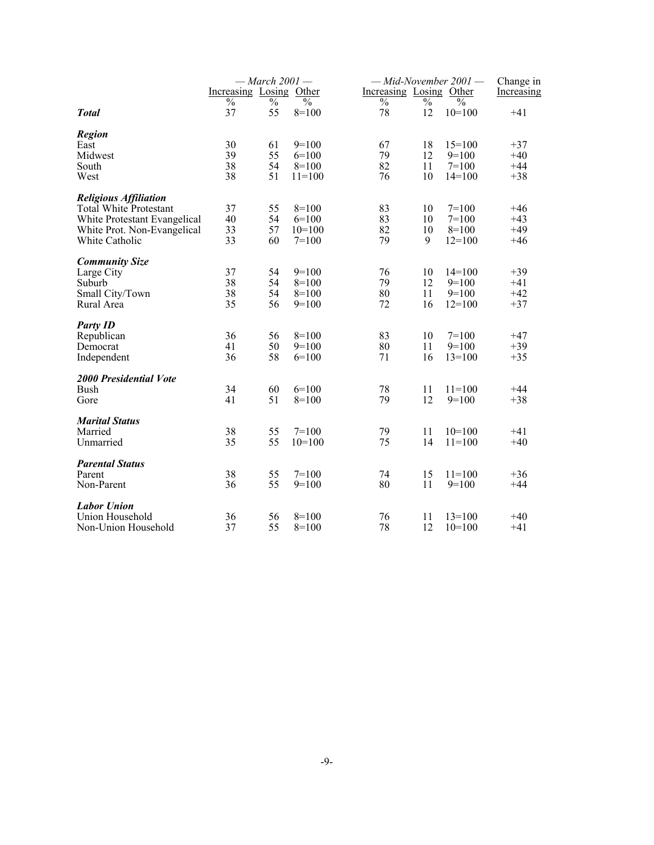|                                                                                                                                         |                         | $-March 2001-$       |                                             |                         |                      | $-Mid-November 2001$ -                     | Change in                        |
|-----------------------------------------------------------------------------------------------------------------------------------------|-------------------------|----------------------|---------------------------------------------|-------------------------|----------------------|--------------------------------------------|----------------------------------|
|                                                                                                                                         | Increasing Losing Other |                      |                                             | Increasing Losing Other |                      |                                            | Increasing                       |
| <b>Total</b>                                                                                                                            | $\%$<br>37              | $\%$<br>55           | $\%$<br>$8=100$                             | $\%$<br>78              | $\%$<br>12           | $\frac{0}{0}$<br>$10=100$                  | $+41$                            |
| <b>Region</b><br>East<br>Midwest<br>South<br>West                                                                                       | 30<br>39<br>38<br>38    | 61<br>55<br>54<br>51 | $9=100$<br>$6=100$<br>$8=100$<br>$11 = 100$ | 67<br>79<br>82<br>76    | 18<br>12<br>11<br>10 | $15=100$<br>$9=100$<br>$7=100$<br>$14=100$ | $+37$<br>$+40$<br>$+44$<br>$+38$ |
| <b>Religious Affiliation</b><br>Total White Protestant<br>White Protestant Evangelical<br>White Prot. Non-Evangelical<br>White Catholic | 37<br>40<br>33<br>33    | 55<br>54<br>57<br>60 | $8=100$<br>$6=100$<br>$10=100$<br>$7=100$   | 83<br>83<br>82<br>79    | 10<br>10<br>10<br>9  | $7=100$<br>$7=100$<br>$8=100$<br>$12=100$  | $+46$<br>$+43$<br>$+49$<br>$+46$ |
| <b>Community Size</b><br>Large City<br>Suburb<br>Small City/Town<br>Rural Area                                                          | 37<br>38<br>38<br>35    | 54<br>54<br>54<br>56 | $9=100$<br>$8=100$<br>$8=100$<br>$9=100$    | 76<br>79<br>80<br>72    | 10<br>12<br>11<br>16 | $14=100$<br>$9=100$<br>$9=100$<br>$12=100$ | $+39$<br>$+41$<br>$+42$<br>$+37$ |
| <b>Party ID</b><br>Republican<br>Democrat<br>Independent                                                                                | 36<br>41<br>36          | 56<br>50<br>58       | $8=100$<br>$9=100$<br>$6=100$               | 83<br>80<br>71          | 10<br>11<br>16       | $7=100$<br>$9=100$<br>$13=100$             | $+47$<br>$+39$<br>$+35$          |
| <b>2000 Presidential Vote</b><br>Bush<br>Gore                                                                                           | 34<br>41                | 60<br>51             | $6=100$<br>$8=100$                          | 78<br>79                | 11<br>12             | $11 = 100$<br>$9=100$                      | $+44$<br>$+38$                   |
| <b>Marital Status</b><br>Married<br>Unmarried                                                                                           | 38<br>35                | 55<br>55             | $7=100$<br>$10=100$                         | 79<br>75                | 11<br>14             | $10=100$<br>$11 = 100$                     | $+41$<br>$+40$                   |
| <b>Parental Status</b><br>Parent<br>Non-Parent                                                                                          | 38<br>36                | 55<br>55             | $7 = 100$<br>$9=100$                        | 74<br>80                | 15<br>11             | $11 = 100$<br>$9=100$                      | $+36$<br>$+44$                   |
| <b>Labor Union</b><br>Union Household<br>Non-Union Household                                                                            | 36<br>37                | 56<br>55             | $8=100$<br>$8=100$                          | 76<br>78                | 11<br>12             | $13=100$<br>$10=100$                       | $+40$<br>$+41$                   |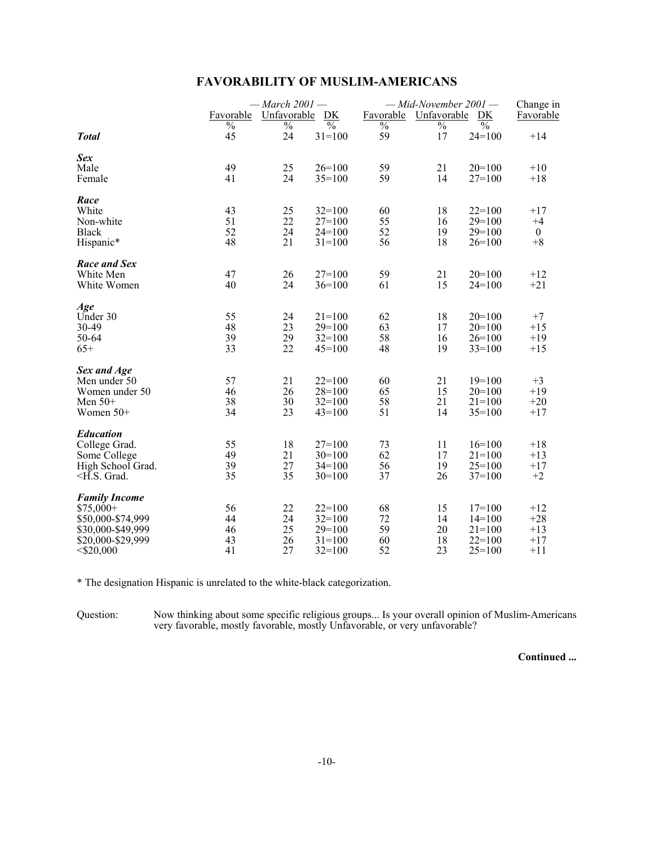|                                                                                                                   | Favorable<br>$\frac{0}{0}$ | — March $2001$ —<br>Unfavorable<br>DK<br>$\overline{\frac{0}{6}}$<br>$\frac{0}{0}$ |                                                                |                            | $-Mid$ -November 2001 —<br>Favorable<br>Unfavorable<br>DK<br>$\overline{\frac{0}{0}}$<br>$\frac{0}{0}$<br>$\frac{0}{0}$ |                                                            |                                           |  |
|-------------------------------------------------------------------------------------------------------------------|----------------------------|------------------------------------------------------------------------------------|----------------------------------------------------------------|----------------------------|-------------------------------------------------------------------------------------------------------------------------|------------------------------------------------------------|-------------------------------------------|--|
| <b>Total</b>                                                                                                      | 45                         | 24                                                                                 | $31 = 100$                                                     | 59                         | 17                                                                                                                      | $24=100$                                                   | $+14$                                     |  |
| <b>Sex</b><br>Male<br>Female                                                                                      | 49<br>41                   | 25<br>24                                                                           | $26=100$<br>$35 = 100$                                         | 59<br>59                   | 21<br>14                                                                                                                | $20=100$<br>$27=100$                                       | $+10$<br>$+18$                            |  |
| Race<br>White<br>Non-white<br><b>Black</b><br>Hispanic*                                                           | 43<br>51<br>52<br>48       | 25<br>22<br>24<br>21                                                               | $32=100$<br>$27=100$<br>$24=100$<br>$31 = 100$                 | 60<br>55<br>52<br>56       | 18<br>16<br>19<br>18                                                                                                    | $22=100$<br>$29=100$<br>$29=100$<br>$26=100$               | $+17$<br>$+4$<br>$\mathbf{0}$<br>$+8$     |  |
| <b>Race and Sex</b><br>White Men<br>White Women                                                                   | 47<br>40                   | 26<br>24                                                                           | $27=100$<br>$36=100$                                           | 59<br>61                   | 21<br>15                                                                                                                | $20=100$<br>$24=100$                                       | $+12$<br>$+21$                            |  |
| Age<br>Under 30<br>30-49<br>50-64<br>$65+$                                                                        | 55<br>48<br>39<br>33       | 24<br>23<br>29<br>22                                                               | $21 = 100$<br>$29=100$<br>$32 = 100$<br>$45=100$               | 62<br>63<br>58<br>48       | 18<br>17<br>16<br>19                                                                                                    | $20=100$<br>$20=100$<br>$26=100$<br>$33=100$               | $+7$<br>$+15$<br>$+19$<br>$+15$           |  |
| Sex and Age<br>Men under 50<br>Women under 50<br>Men $50+$<br>Women $50+$                                         | 57<br>46<br>38<br>34       | 21<br>26<br>30<br>23                                                               | $22 = 100$<br>$28=100$<br>$32 = 100$<br>$43 = 100$             | 60<br>65<br>58<br>51       | 21<br>15<br>21<br>14                                                                                                    | $19=100$<br>$20=100$<br>$21 = 100$<br>$35 = 100$           | $+3$<br>$+19$<br>$+20$<br>$+17$           |  |
| <b>Education</b><br>College Grad.<br>Some College<br>High School Grad.<br>$-H.S.$ Grad.                           | 55<br>49<br>39<br>35       | 18<br>21<br>27<br>35                                                               | $27=100$<br>$30=100$<br>$34=100$<br>$30=100$                   | 73<br>62<br>56<br>37       | 11<br>17<br>19<br>26                                                                                                    | $16=100$<br>$21 = 100$<br>$25=100$<br>$37=100$             | $+18$<br>$+13$<br>$+17$<br>$+2$           |  |
| <b>Family Income</b><br>$$75,000+$<br>\$50,000-\$74,999<br>\$30,000-\$49,999<br>\$20,000-\$29,999<br>$<$ \$20,000 | 56<br>44<br>46<br>43<br>41 | 22<br>24<br>25<br>26<br>27                                                         | $22 = 100$<br>$32 = 100$<br>$29=100$<br>$31 = 100$<br>$32=100$ | 68<br>72<br>59<br>60<br>52 | 15<br>14<br>20<br>18<br>23                                                                                              | $17=100$<br>$14=100$<br>$21 = 100$<br>$22=100$<br>$25=100$ | $+12$<br>$+28$<br>$+13$<br>$+17$<br>$+11$ |  |

## **FAVORABILITY OF MUSLIM-AMERICANS**

\* The designation Hispanic is unrelated to the white-black categorization.

Question: Now thinking about some specific religious groups... Is your overall opinion of Muslim-Americans very favorable, mostly favorable, mostly Unfavorable, or very unfavorable?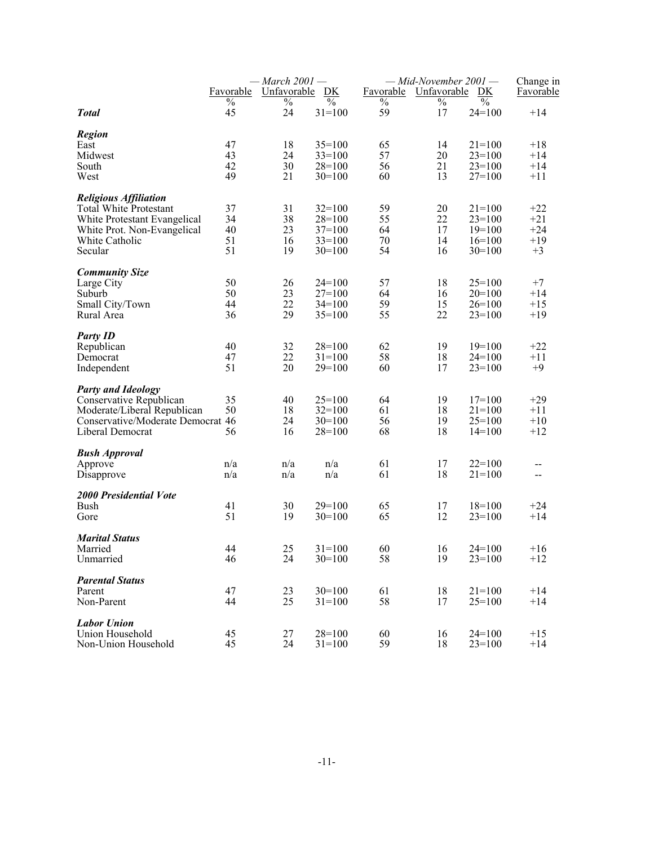|                                   | Favorable | $-$ March 2001 $-$<br>Unfavorable | DK                      | Favorable     | $-Mid-November 2001$ -<br>Unfavorable | DK            | Change in<br><b>Favorable</b> |
|-----------------------------------|-----------|-----------------------------------|-------------------------|---------------|---------------------------------------|---------------|-------------------------------|
|                                   | $\%$      | $\%$                              | $\sqrt[0]{\phantom{0}}$ | $\frac{0}{0}$ | $\%$                                  | $\frac{0}{0}$ |                               |
| <b>Total</b>                      | 45        | 24                                | $31 = 100$              | 59            | 17                                    | $24=100$      | $+14$                         |
| <b>Region</b>                     |           |                                   |                         |               |                                       |               |                               |
| East                              | 47        | 18                                | $35=100$                | 65            | 14                                    | $21 = 100$    | $+18$                         |
| Midwest                           | 43        | 24                                | $33=100$                | 57            | 20                                    | $23=100$      | $+14$                         |
| South                             | 42        | 30                                | $28=100$                | 56            | 21                                    | $23=100$      | $+14$                         |
| West                              | 49        | 21                                | $30=100$                | 60            | 13                                    | $27=100$      | $+11$                         |
| <b>Religious Affiliation</b>      |           |                                   |                         |               |                                       |               |                               |
| <b>Total White Protestant</b>     | 37        | 31                                | $32=100$                | 59            | 20                                    | $21 = 100$    | $+22$                         |
| White Protestant Evangelical      | 34        | 38                                | $28=100$                | 55            | 22                                    | $23=100$      | $+21$                         |
| White Prot. Non-Evangelical       | 40        | 23                                | $37=100$                | 64            | 17                                    | $19=100$      | $+24$                         |
| White Catholic                    | 51        | 16                                | $33=100$                | 70            | 14                                    | $16=100$      | $+19$                         |
| Secular                           | 51        | 19                                | $30=100$                | 54            | 16                                    | $30=100$      | $+3$                          |
| <b>Community Size</b>             |           |                                   |                         |               |                                       |               |                               |
| Large City                        | 50        | 26                                | $24=100$                | 57            | 18                                    | $25=100$      | $+7$                          |
| Suburb                            | 50        | 23                                | $27=100$                | 64            | 16                                    | $20=100$      | $+14$                         |
| Small City/Town                   | 44        | 22                                | $34=100$                | 59            | 15                                    | $26=100$      | $+15$                         |
| Rural Area                        | 36        | 29                                | $35=100$                | 55            | 22                                    | $23=100$      | $+19$                         |
| <b>Party ID</b>                   |           |                                   |                         |               |                                       |               |                               |
| Republican                        | 40        | 32                                | $28=100$                | 62            | 19                                    | $19=100$      | $+22$                         |
| Democrat                          | 47        | 22                                | $31 = 100$              | 58            | 18                                    | $24=100$      | $+11$                         |
| Independent                       | 51        | 20                                | $29=100$                | 60            | 17                                    | $23=100$      | $+9$                          |
| <b>Party and Ideology</b>         |           |                                   |                         |               |                                       |               |                               |
| Conservative Republican           | 35        | 40                                | $25=100$                | 64            | 19                                    | $17=100$      | $+29$                         |
| Moderate/Liberal Republican       | 50        | 18                                | $32=100$                | 61            | 18                                    | $21 = 100$    | $+11$                         |
| Conservative/Moderate Democrat 46 |           | 24                                | $30=100$                | 56            | 19                                    | $25=100$      | $+10$                         |
| Liberal Democrat                  | 56        | 16                                | $28=100$                | 68            | 18                                    | $14=100$      | $+12$                         |
| <b>Bush Approval</b>              |           |                                   |                         |               |                                       |               |                               |
| Approve                           | n/a       | n/a                               | n/a                     | 61            | 17                                    | $22=100$      | --                            |
| Disapprove                        | n/a       | n/a                               | n/a                     | 61            | 18                                    | $21 = 100$    | $-$                           |
| <b>2000 Presidential Vote</b>     |           |                                   |                         |               |                                       |               |                               |
| <b>Bush</b>                       | 41        | 30                                | $29=100$                | 65            | 17                                    | $18=100$      | $+24$                         |
| Gore                              | 51        | 19                                | $30=100$                | 65            | 12                                    | $23=100$      | $+14$                         |
| <b>Marital Status</b>             |           |                                   |                         |               |                                       |               |                               |
| Married                           | 44        | 25                                | $31 = 100$              | 60            | 16                                    | $24=100$      | $+16$                         |
| Unmarried                         | 46        | 24                                | $30=100$                | 58            | 19                                    | $23=100$      | $+12$                         |
| <b>Parental Status</b>            |           |                                   |                         |               |                                       |               |                               |
| Parent                            | 47        | 23                                | $30=100$                | 61            | 18                                    | $21 = 100$    | $+14$                         |
| Non-Parent                        | 44        | 25                                | $31 = 100$              | 58            | 17                                    | $25=100$      | $+14$                         |
| <b>Labor Union</b>                |           |                                   |                         |               |                                       |               |                               |
| Union Household                   | 45        | 27                                | $28=100$                | 60            | 16                                    | $24=100$      | $+15$                         |
| Non-Union Household               | 45        | 24                                | $31 = 100$              | 59            | 18                                    | $23=100$      | $+14$                         |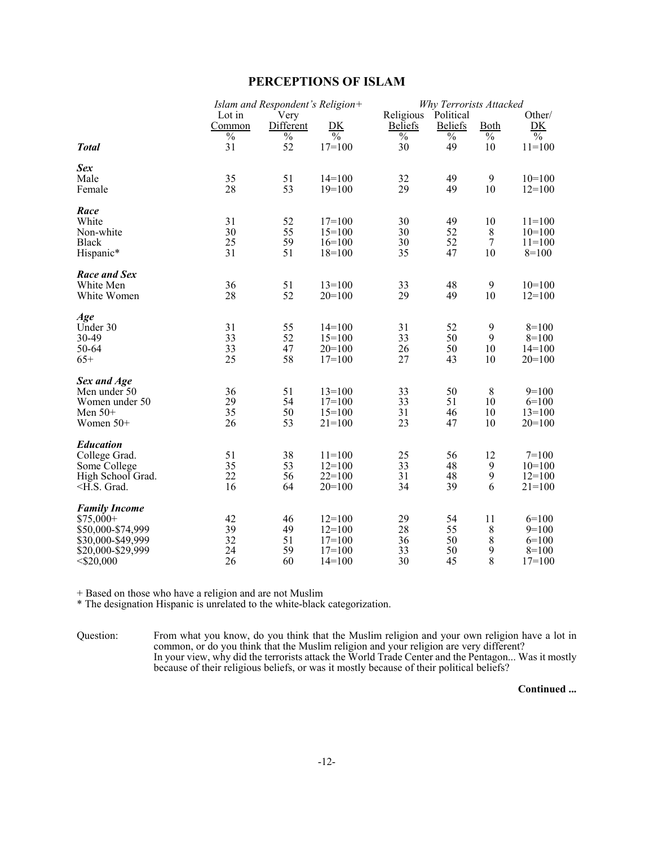## **PERCEPTIONS OF ISLAM**

|                                                                                                                                               | Islam and Respondent's Religion+ |            |                                      | Why Terrorists Attacked        |                                |                                |                                      |
|-----------------------------------------------------------------------------------------------------------------------------------------------|----------------------------------|------------|--------------------------------------|--------------------------------|--------------------------------|--------------------------------|--------------------------------------|
|                                                                                                                                               | Lot in                           | Very       |                                      | Religious                      | Political                      |                                | Other/                               |
|                                                                                                                                               | Common                           | Different  | DK                                   | <b>Beliefs</b>                 | <b>Beliefs</b>                 | Both                           | DK                                   |
| <b>Total</b>                                                                                                                                  | $\overline{\frac{0}{0}}$<br>31   | $\%$<br>52 | $\overline{\frac{0}{0}}$<br>$17=100$ | $\overline{\frac{0}{0}}$<br>30 | $\overline{\frac{0}{0}}$<br>49 | $\overline{\frac{0}{0}}$<br>10 | $\overline{\frac{0}{0}}$<br>$11=100$ |
|                                                                                                                                               |                                  |            |                                      |                                |                                |                                |                                      |
| <b>Sex</b>                                                                                                                                    |                                  |            |                                      |                                |                                |                                |                                      |
| Male                                                                                                                                          | 35                               | 51         | $14=100$                             | 32                             | 49                             | 9                              | $10=100$                             |
| Female                                                                                                                                        | 28                               | 53         | $19=100$                             | 29                             | 49                             | 10                             | $12=100$                             |
|                                                                                                                                               |                                  |            |                                      |                                |                                |                                |                                      |
| Race<br>White                                                                                                                                 | 31                               | 52         | $17=100$                             | 30                             | 49                             | 10                             | $11=100$                             |
| Non-white                                                                                                                                     | 30                               | 55         | $15=100$                             | 30                             | 52                             | $\,8\,$                        | $10=100$                             |
| <b>Black</b>                                                                                                                                  | 25                               | 59         | $16=100$                             | 30                             | 52                             | $\overline{7}$                 | $11=100$                             |
| Hispanic*                                                                                                                                     | 31                               | 51         | $18=100$                             | 35                             | 47                             | 10                             | $8=100$                              |
|                                                                                                                                               |                                  |            |                                      |                                |                                |                                |                                      |
| Race and Sex                                                                                                                                  |                                  |            |                                      |                                |                                |                                |                                      |
| White Men                                                                                                                                     | 36                               | 51         | $13=100$                             | 33                             | 48                             | 9                              | $10=100$                             |
| White Women                                                                                                                                   | 28                               | 52         | $20=100$                             | 29                             | 49                             | 10                             | $12=100$                             |
|                                                                                                                                               |                                  |            |                                      |                                |                                |                                |                                      |
| Age<br>Under 30                                                                                                                               | 31                               | 55         | $14=100$                             | 31                             | 52                             | 9                              | $8=100$                              |
| 30-49                                                                                                                                         | 33                               | 52         | $15=100$                             | 33                             | 50                             | 9                              | $8=100$                              |
| 50-64                                                                                                                                         | 33                               | 47         | $20=100$                             | 26                             | 50                             | 10                             | $14=100$                             |
| $65+$                                                                                                                                         | 25                               | 58         | $17 = 100$                           | 27                             | 43                             | 10                             | $20=100$                             |
|                                                                                                                                               |                                  |            |                                      |                                |                                |                                |                                      |
| Sex and Age                                                                                                                                   |                                  |            |                                      |                                |                                |                                |                                      |
| Men under 50                                                                                                                                  | 36                               | 51         | $13=100$                             | 33                             | 50                             | 8                              | $9=100$                              |
| Women under 50                                                                                                                                | 29                               | 54         | $17=100$                             | 33                             | 51                             | 10                             | $6=100$                              |
| Men $50+$                                                                                                                                     | 35                               | 50         | $15=100$                             | 31                             | 46                             | 10                             | $13=100$                             |
| Women 50+                                                                                                                                     | 26                               | 53         | $21 = 100$                           | 23                             | 47                             | 10                             | $20=100$                             |
| <b>Education</b>                                                                                                                              |                                  |            |                                      |                                |                                |                                |                                      |
| College Grad.                                                                                                                                 | 51                               | 38         | $11=100$                             | 25                             | 56                             | 12                             | $7 = 100$                            |
| Some College                                                                                                                                  | 35                               | 53         | $12=100$                             | 33                             | 48                             | 9                              | $10=100$                             |
| High School Grad.                                                                                                                             | 22                               | 56         | $22=100$                             | 31                             | 48                             | 9                              | $12=100$                             |
| <h.s. grad.<="" td=""><td>16</td><td>64</td><td><math>20=100</math></td><td>34</td><td>39</td><td>6</td><td><math>21 = 100</math></td></h.s.> | 16                               | 64         | $20=100$                             | 34                             | 39                             | 6                              | $21 = 100$                           |
|                                                                                                                                               |                                  |            |                                      |                                |                                |                                |                                      |
| <b>Family Income</b>                                                                                                                          |                                  |            |                                      |                                |                                |                                |                                      |
| $$75,000+$                                                                                                                                    | 42<br>39                         | 46<br>49   | $12 = 100$<br>$12=100$               | 29<br>28                       | 54<br>55                       | 11                             | $6=100$<br>$9=100$                   |
| \$50,000-\$74,999                                                                                                                             | 32                               | 51         | $17 = 100$                           | 36                             | 50                             | $\,$ 8 $\,$                    | $6=100$                              |
| \$30,000-\$49,999<br>\$20,000-\$29,999                                                                                                        | 24                               | 59         | $17=100$                             | 33                             | 50                             | 8<br>9                         | $8=100$                              |
|                                                                                                                                               | 26                               | 60         | $14=100$                             | 30                             | 45                             | 8                              | $17=100$                             |
| $<$ \$20,000                                                                                                                                  |                                  |            |                                      |                                |                                |                                |                                      |

+ Based on those who have a religion and are not Muslim

\* The designation Hispanic is unrelated to the white-black categorization.

Question: From what you know, do you think that the Muslim religion and your own religion have a lot in common, or do you think that the Muslim religion and your religion are very different? In your view, why did the terrorists attack the World Trade Center and the Pentagon... Was it mostly because of their religious beliefs, or was it mostly because of their political beliefs?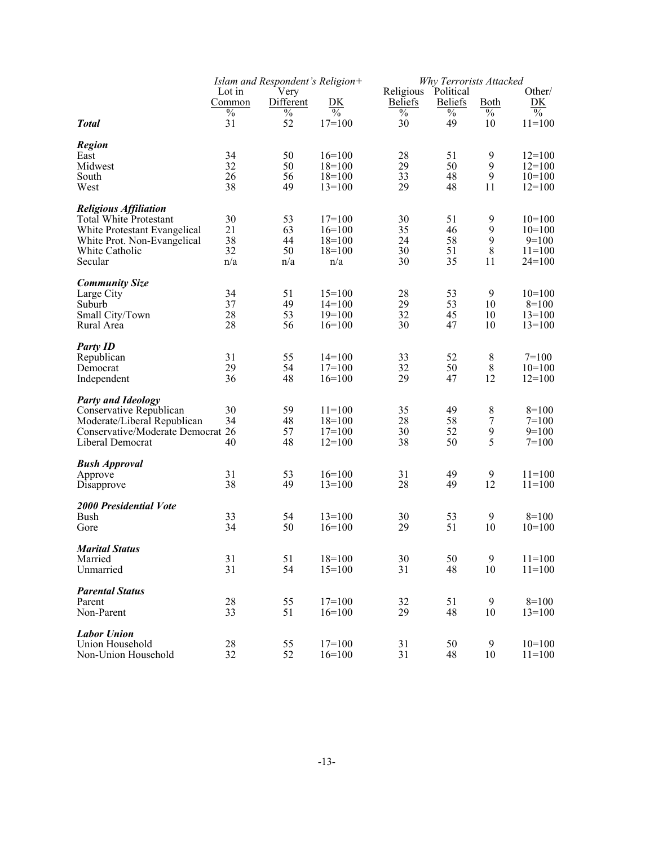|                                                             | Islam and Respondent's Religion+ |                     |                      |                | Why Terrorists Attacked |                       |                           |  |
|-------------------------------------------------------------|----------------------------------|---------------------|----------------------|----------------|-------------------------|-----------------------|---------------------------|--|
|                                                             | Lot in                           | Very                |                      | Religious      | Political               |                       | Other/                    |  |
|                                                             | Common                           | Different           | <u>DK</u>            | <b>Beliefs</b> | <b>Beliefs</b>          | <b>Both</b>           | DK                        |  |
|                                                             | $\%$<br>31                       | $\frac{0}{0}$<br>52 | $\%$                 | $\%$<br>30     | $\%$<br>49              | $\frac{0}{0}$<br>10   | $\frac{0}{0}$<br>$11=100$ |  |
| <b>Total</b>                                                |                                  |                     | $17=100$             |                |                         |                       |                           |  |
| <b>Region</b>                                               |                                  |                     |                      |                |                         |                       |                           |  |
| East                                                        | 34                               | 50                  | $16=100$             | 28             | 51                      | 9                     | $12=100$                  |  |
| Midwest                                                     | 32                               | 50                  | $18=100$             | 29             | 50                      | 9                     | $12=100$                  |  |
| South                                                       | 26                               | 56                  | $18=100$             | 33             | 48                      | $\boldsymbol{9}$      | $10=100$                  |  |
| West                                                        | 38                               | 49                  | $13=100$             | 29             | 48                      | 11                    | $12=100$                  |  |
|                                                             |                                  |                     |                      |                |                         |                       |                           |  |
| <b>Religious Affiliation</b>                                |                                  |                     |                      |                |                         |                       |                           |  |
| <b>Total White Protestant</b>                               | 30<br>21                         | 53<br>63            | $17=100$<br>$16=100$ | 30<br>35       | 51<br>46                | 9<br>$\boldsymbol{9}$ | $10=100$<br>$10=100$      |  |
| White Protestant Evangelical<br>White Prot. Non-Evangelical | 38                               | 44                  | $18=100$             | 24             | 58                      | $\boldsymbol{9}$      | $9=100$                   |  |
| White Catholic                                              | 32                               | 50                  | $18=100$             | 30             | 51                      | $\,$ 8 $\,$           | $11 = 100$                |  |
| Secular                                                     | n/a                              | n/a                 | n/a                  | 30             | 35                      | 11                    | $24=100$                  |  |
|                                                             |                                  |                     |                      |                |                         |                       |                           |  |
| <b>Community Size</b>                                       |                                  |                     |                      |                |                         |                       |                           |  |
| Large City                                                  | 34                               | 51                  | $15=100$             | 28             | 53                      | 9                     | $10=100$                  |  |
| Suburb                                                      | 37                               | 49                  | $14=100$             | 29             | 53                      | 10                    | $8=100$                   |  |
| Small City/Town                                             | 28                               | 53                  | $19=100$             | 32             | 45                      | 10                    | $13=100$                  |  |
| Rural Area                                                  | 28                               | 56                  | $16=100$             | 30             | 47                      | 10                    | $13=100$                  |  |
|                                                             |                                  |                     |                      |                |                         |                       |                           |  |
| <b>Party ID</b>                                             | 31                               |                     |                      |                | 52                      |                       | $7=100$                   |  |
| Republican<br>Democrat                                      | 29                               | 55<br>54            | $14=100$<br>$17=100$ | 33<br>32       | 50                      | $\,8\,$<br>$8\,$      | $10=100$                  |  |
| Independent                                                 | 36                               | 48                  | $16=100$             | 29             | 47                      | 12                    | $12=100$                  |  |
|                                                             |                                  |                     |                      |                |                         |                       |                           |  |
| <b>Party and Ideology</b>                                   |                                  |                     |                      |                |                         |                       |                           |  |
| Conservative Republican                                     | 30                               | 59                  | $11 = 100$           | 35             | 49                      | 8                     | $8=100$                   |  |
| Moderate/Liberal Republican                                 | 34                               | 48                  | $18=100$             | 28             | 58                      | $\boldsymbol{7}$      | $7=100$                   |  |
| Conservative/Moderate Democrat 26                           |                                  | 57                  | $17=100$             | 30             | 52                      | $\boldsymbol{9}$      | $9=100$                   |  |
| Liberal Democrat                                            | 40                               | 48                  | $12=100$             | 38             | 50                      | 5                     | $7=100$                   |  |
|                                                             |                                  |                     |                      |                |                         |                       |                           |  |
| <b>Bush Approval</b>                                        |                                  |                     |                      |                |                         |                       |                           |  |
| Approve                                                     | 31<br>38                         | 53<br>49            | $16=100$             | 31<br>28       | 49<br>49                | 9<br>12               | $11=100$<br>$11=100$      |  |
| Disapprove                                                  |                                  |                     | $13=100$             |                |                         |                       |                           |  |
| <b>2000 Presidential Vote</b>                               |                                  |                     |                      |                |                         |                       |                           |  |
| <b>Bush</b>                                                 | 33                               | 54                  | $13=100$             | 30             | 53                      | 9                     | $8=100$                   |  |
| Gore                                                        | 34                               | 50                  | $16=100$             | 29             | 51                      | 10                    | $10=100$                  |  |
|                                                             |                                  |                     |                      |                |                         |                       |                           |  |
| <b>Marital Status</b>                                       |                                  |                     |                      |                |                         |                       |                           |  |
| Married                                                     | 31                               | 51                  | $18=100$             | 30             | 50                      | 9                     | $11=100$                  |  |
| Unmarried                                                   | 31                               | 54                  | $15=100$             | 31             | 48                      | 10                    | $11 = 100$                |  |
| <b>Parental Status</b>                                      |                                  |                     |                      |                |                         |                       |                           |  |
| Parent                                                      | 28                               | 55                  | $17=100$             | 32             | 51                      | 9                     | $8=100$                   |  |
| Non-Parent                                                  | 33                               | 51                  | $16=100$             | 29             | 48                      | 10                    | $13=100$                  |  |
|                                                             |                                  |                     |                      |                |                         |                       |                           |  |
| <b>Labor Union</b>                                          |                                  |                     |                      |                |                         |                       |                           |  |
| Union Household                                             | 28                               | 55                  | $17=100$             | 31             | 50                      | 9                     | $10=100$                  |  |
| Non-Union Household                                         | 32                               | 52                  | $16=100$             | 31             | 48                      | 10                    | $11 = 100$                |  |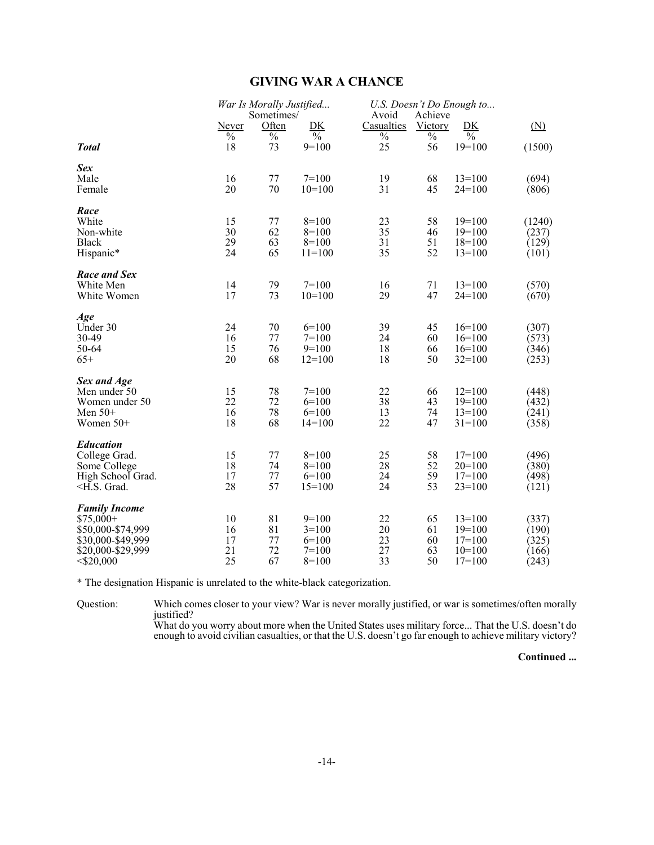# **GIVING WAR A CHANCE**

|                                                                                                                                                                                                                                                                                                                                                                                                                                                                                            |                                | War Is Morally Justified<br>Sometimes/ |                                                     | Avoid                          | Achieve                    | U.S. Doesn't Do Enough to                                |                                           |
|--------------------------------------------------------------------------------------------------------------------------------------------------------------------------------------------------------------------------------------------------------------------------------------------------------------------------------------------------------------------------------------------------------------------------------------------------------------------------------------------|--------------------------------|----------------------------------------|-----------------------------------------------------|--------------------------------|----------------------------|----------------------------------------------------------|-------------------------------------------|
|                                                                                                                                                                                                                                                                                                                                                                                                                                                                                            | Never                          | Often                                  | <u>DK</u>                                           | Casualties                     | Victory                    | DK                                                       | (N)                                       |
| <b>Total</b>                                                                                                                                                                                                                                                                                                                                                                                                                                                                               | $\overline{\frac{0}{0}}$<br>18 | $\overline{\frac{0}{0}}$<br>73         | $\frac{0}{0}$<br>$9=100$                            | $\overline{\frac{0}{0}}$<br>25 | $\frac{0}{0}$<br>56        | $\frac{0}{0}$<br>$19=100$                                | (1500)                                    |
| <b>Sex</b><br>Male<br>Female                                                                                                                                                                                                                                                                                                                                                                                                                                                               | 16<br>20                       | 77<br>70                               | $7=100$<br>$10=100$                                 | 19<br>31                       | 68<br>45                   | $13=100$<br>$24=100$                                     | (694)<br>(806)                            |
| Race<br>White<br>Non-white<br><b>Black</b><br>Hispanic*                                                                                                                                                                                                                                                                                                                                                                                                                                    | 15<br>30<br>29<br>24           | 77<br>62<br>63<br>65                   | $8=100$<br>$8=100$<br>$8=100$<br>$11=100$           | 23<br>35<br>31<br>35           | 58<br>46<br>51<br>52       | $19=100$<br>$19=100$<br>$18=100$<br>$13=100$             | (1240)<br>(237)<br>(129)<br>(101)         |
| Race and Sex<br>White Men<br>White Women                                                                                                                                                                                                                                                                                                                                                                                                                                                   | 14<br>17                       | 79<br>73                               | $7=100$<br>$10=100$                                 | 16<br>29                       | 71<br>47                   | $13 = 100$<br>$24=100$                                   | (570)<br>(670)                            |
| Age<br>Under 30<br>30-49<br>50-64<br>$65+$                                                                                                                                                                                                                                                                                                                                                                                                                                                 | 24<br>16<br>15<br>20           | 70<br>77<br>76<br>68                   | $6=100$<br>$7 = 100$<br>$9=100$<br>$12=100$         | 39<br>24<br>18<br>18           | 45<br>60<br>66<br>50       | $16=100$<br>$16=100$<br>$16=100$<br>$32=100$             | (307)<br>(573)<br>(346)<br>(253)          |
| Sex and Age<br>Men under 50<br>Women under 50<br>Men $50+$<br>Women 50+                                                                                                                                                                                                                                                                                                                                                                                                                    | 15<br>22<br>16<br>18           | 78<br>72<br>78<br>68                   | $7 = 100$<br>$6=100$<br>$6=100$<br>$14=100$         | 22<br>38<br>13<br>22           | 66<br>43<br>74<br>47       | $12=100$<br>$19=100$<br>$13=100$<br>$31 = 100$           | (448)<br>(432)<br>(241)<br>(358)          |
| <b>Education</b><br>College Grad.<br>Some College<br>High School Grad.<br><h.s. grad.<="" td=""><td>15<br/>18<br/>17<br/>28</td><td>77<br/>74<br/>77<br/>57</td><td><math>8=100</math><br/><math>8=100</math><br/><math>6=100</math><br/><math>15=100</math></td><td>25<br/>28<br/>24<br/>24</td><td>58<br/>52<br/>59<br/>53</td><td><math>17 = 100</math><br/><math>20=100</math><br/><math>17=100</math><br/><math>23=100</math></td><td>(496)<br/>(380)<br/>(498)<br/>(121)</td></h.s.> | 15<br>18<br>17<br>28           | 77<br>74<br>77<br>57                   | $8=100$<br>$8=100$<br>$6=100$<br>$15=100$           | 25<br>28<br>24<br>24           | 58<br>52<br>59<br>53       | $17 = 100$<br>$20=100$<br>$17=100$<br>$23=100$           | (496)<br>(380)<br>(498)<br>(121)          |
| <b>Family Income</b><br>$$75,000+$<br>\$50,000-\$74,999<br>\$30,000-\$49,999<br>\$20,000-\$29,999<br>$<$ \$20,000                                                                                                                                                                                                                                                                                                                                                                          | 10<br>16<br>17<br>21<br>25     | 81<br>81<br>77<br>72<br>67             | $9=100$<br>$3=100$<br>$6=100$<br>$7=100$<br>$8=100$ | 22<br>20<br>23<br>27<br>33     | 65<br>61<br>60<br>63<br>50 | $13=100$<br>$19=100$<br>$17=100$<br>$10=100$<br>$17=100$ | (337)<br>(190)<br>(325)<br>(166)<br>(243) |

\* The designation Hispanic is unrelated to the white-black categorization.

Question: Which comes closer to your view? War is never morally justified, or war is sometimes/often morally justified?

What do you worry about more when the United States uses military force... That the U.S. doesn't do enough to avoid civilian casualties, or that the U.S. doesn't go far enough to achieve military victory?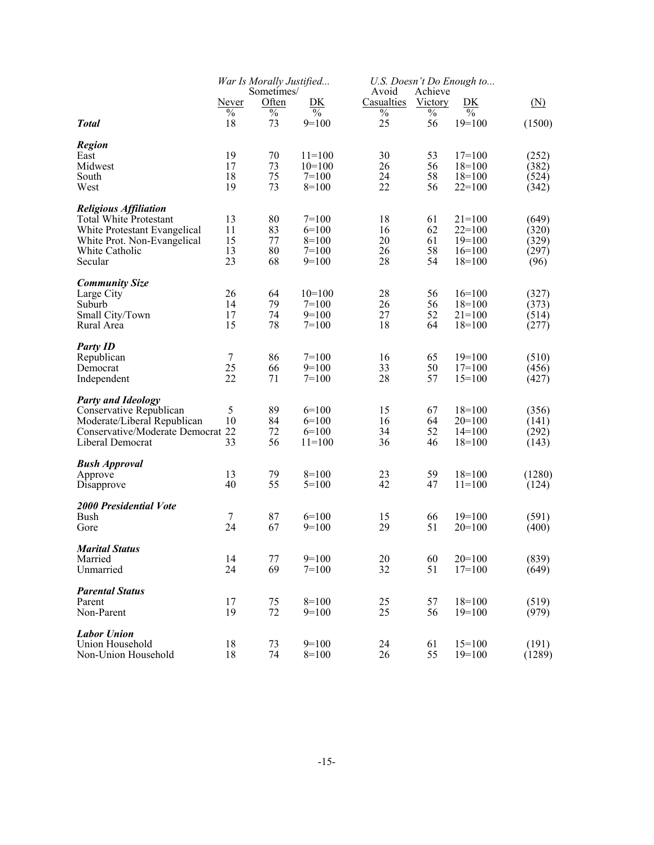|                                                      | War Is Morally Justified |                     |                          |                     | U.S. Doesn't Do Enough to |                          |                   |  |
|------------------------------------------------------|--------------------------|---------------------|--------------------------|---------------------|---------------------------|--------------------------|-------------------|--|
|                                                      | <u>Never</u>             | Sometimes/<br>Often | <u>DК</u>                | Avoid<br>Casualties | Achieve<br>Victory        | DK                       | $(\underline{N})$ |  |
|                                                      | $\frac{0}{0}$            | $\%$                | $\overline{\frac{0}{0}}$ | $\%$                | $\%$                      | $\overline{\frac{0}{0}}$ |                   |  |
| <b>Total</b>                                         | 18                       | 73                  | $9=100$                  | 25                  | 56                        | $19=100$                 | (1500)            |  |
| <b>Region</b>                                        |                          |                     |                          |                     |                           |                          |                   |  |
| East                                                 | 19                       | 70                  | $11=100$                 | 30                  | 53                        | $17=100$                 | (252)             |  |
| Midwest<br>South                                     | 17<br>18                 | 73<br>75            | $10=100$<br>$7=100$      | 26<br>24            | 56<br>58                  | $18=100$<br>$18=100$     | (382)             |  |
| West                                                 | 19                       | 73                  | $8=100$                  | 22                  | 56                        | $22=100$                 | (524)<br>(342)    |  |
| <b>Religious Affiliation</b>                         |                          |                     |                          |                     |                           |                          |                   |  |
| Total White Protestant                               | 13                       | 80                  | $7=100$                  | 18                  | 61                        | $21=100$                 | (649)             |  |
| White Protestant Evangelical                         | 11                       | 83                  | $6=100$                  | 16                  | 62                        | $22=100$                 | (320)             |  |
| White Prot. Non-Evangelical                          | 15                       | 77                  | $8=100$                  | 20                  | 61                        | $19=100$                 | (329)             |  |
| White Catholic<br>Secular                            | 13<br>23                 | 80<br>68            | $7=100$<br>$9=100$       | 26<br>28            | 58<br>54                  | $16=100$<br>$18=100$     | (297)<br>(96)     |  |
|                                                      |                          |                     |                          |                     |                           |                          |                   |  |
| <b>Community Size</b><br>Large City                  | 26                       | 64                  | $10=100$                 | 28                  | 56                        | $16=100$                 | (327)             |  |
| Suburb                                               | 14                       | 79                  | $7=100$                  | 26                  | 56                        | $18=100$                 | (373)             |  |
| Small City/Town                                      | 17                       | 74                  | $9=100$                  | 27                  | 52                        | $21=100$                 | (514)             |  |
| Rural Area                                           | 15                       | 78                  | $7=100$                  | 18                  | 64                        | $18=100$                 | (277)             |  |
| <b>Party ID</b>                                      |                          |                     |                          |                     |                           |                          |                   |  |
| Republican                                           | $\tau$                   | 86                  | $7=100$                  | 16                  | 65                        | $19=100$                 | (510)             |  |
| Democrat<br>Independent                              | 25<br>22                 | 66<br>71            | $9=100$<br>$7=100$       | 33<br>28            | 50<br>57                  | $17=100$<br>$15=100$     | (456)<br>(427)    |  |
|                                                      |                          |                     |                          |                     |                           |                          |                   |  |
| <b>Party and Ideology</b><br>Conservative Republican | 5                        | 89                  | $6=100$                  | 15                  | 67                        | $18=100$                 | (356)             |  |
| Moderate/Liberal Republican                          | 10                       | 84                  | $6=100$                  | 16                  | 64                        | $20=100$                 | (141)             |  |
| Conservative/Moderate Democrat 22                    |                          | 72                  | $6=100$                  | 34                  | 52                        | $14=100$                 | (292)             |  |
| Liberal Democrat                                     | 33                       | 56                  | $11=100$                 | 36                  | 46                        | $18=100$                 | (143)             |  |
| <b>Bush Approval</b>                                 |                          |                     |                          |                     |                           |                          |                   |  |
| Approve                                              | 13                       | 79                  | $8=100$                  | 23                  | 59                        | $18=100$                 | (1280)            |  |
| Disapprove                                           | 40                       | 55                  | $5=100$                  | 42                  | 47                        | $11=100$                 | (124)             |  |
| <b>2000 Presidential Vote</b>                        |                          |                     |                          |                     |                           |                          |                   |  |
| Bush                                                 | $\tau$<br>24             | 87<br>67            | $6=100$<br>$9=100$       | 15<br>29            | 66<br>51                  | $19=100$                 | (591)             |  |
| Gore                                                 |                          |                     |                          |                     |                           | $20=100$                 | (400)             |  |
| <b>Marital Status</b>                                |                          |                     |                          |                     |                           |                          |                   |  |
| Married<br>Unmarried                                 | 14<br>24                 | 77<br>69            | $9=100$<br>$7=100$       | 20<br>32            | 60<br>51                  | $20=100$<br>$17=100$     | (839)<br>(649)    |  |
|                                                      |                          |                     |                          |                     |                           |                          |                   |  |
| <b>Parental Status</b>                               |                          | 75                  | $8=100$                  |                     |                           | $18=100$                 |                   |  |
| Parent<br>Non-Parent                                 | 17<br>19                 | 72                  | $9=100$                  | 25<br>25            | 57<br>56                  | $19=100$                 | (519)<br>(979)    |  |
|                                                      |                          |                     |                          |                     |                           |                          |                   |  |
| <b>Labor Union</b><br>Union Household                | 18                       | 73                  | $9=100$                  | 24                  | 61                        | $15=100$                 | (191)             |  |
| Non-Union Household                                  | 18                       | 74                  | $8=100$                  | 26                  | 55                        | $19=100$                 | (1289)            |  |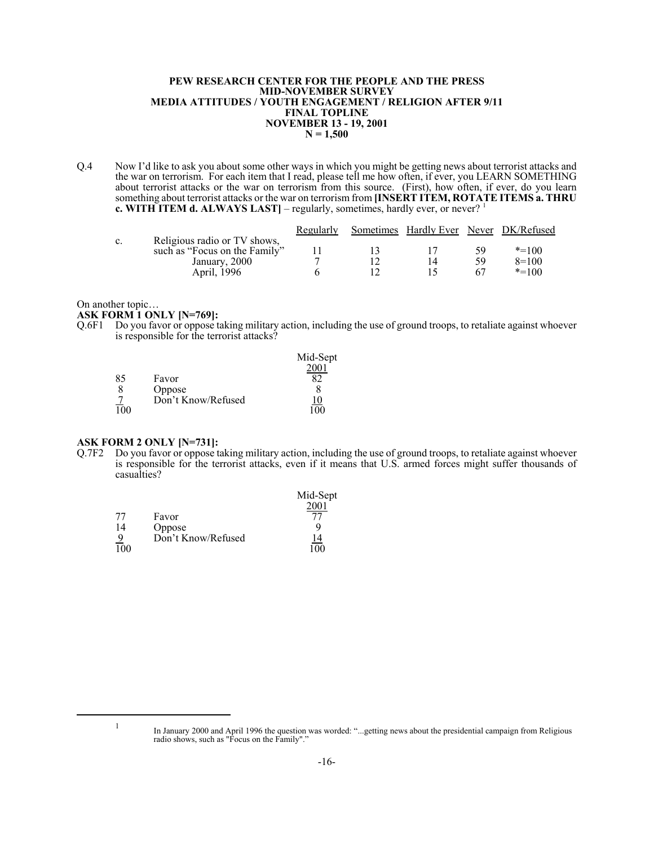#### **PEW RESEARCH CENTER FOR THE PEOPLE AND THE PRESS MID-NOVEMBER SURVEY MEDIA ATTITUDES / YOUTH ENGAGEMENT / RELIGION AFTER 9/11 FINAL TOPLINE NOVEMBER 13 - 19, 2001 N = 1,500**

Q.4 Now I'd like to ask you about some other ways in which you might be getting news about terrorist attacks and the war on terrorism. For each item that I read, please tell me how often, if ever, you LEARN SOMETHING about terrorist attacks or the war on terrorism from this source. (First), how often, if ever, do you learn something about terrorist attacks or the war on terrorism from **[INSERT ITEM, ROTATE ITEMS a. THRU c. WITH ITEM d. ALWAYS LAST** – regularly, sometimes, hardly ever, or never?<sup>1</sup>

|                |                               | Regularly | Sometimes Hardly Ever Never DK/Refused |    |           |
|----------------|-------------------------------|-----------|----------------------------------------|----|-----------|
| $\mathbf{c}$ . | Religious radio or TV shows,  |           |                                        |    |           |
|                | such as "Focus on the Family" |           |                                        | 5q | $* = 100$ |
|                | January, 2000                 |           |                                        | 59 | $8=100$   |
|                | April, 1996                   |           |                                        |    | $* = 100$ |

On another topic…

**ASK FORM 1 ONLY [N=769]:**

Q.6F1 Do you favor or oppose taking military action, including the use of ground troops, to retaliate against whoever is responsible for the terrorist attacks?

|                  |                    | Mid-Sept  |
|------------------|--------------------|-----------|
|                  |                    |           |
| 85               | Favor              |           |
|                  | Oppose             |           |
|                  | Don't Know/Refused | <u>.0</u> |
| $\overline{100}$ |                    | 100       |

#### **ASK FORM 2 ONLY [N=731]:**

Q.7F2 Do you favor or oppose taking military action, including the use of ground troops, to retaliate against whoever is responsible for the terrorist attacks, even if it means that U.S. armed forces might suffer thousands of casualties?

|            |                    | Mid-Sept  |
|------------|--------------------|-----------|
|            |                    | 2001      |
| 77         | Favor              |           |
| 14         | Oppose             |           |
|            | Don't Know/Refused | <u>14</u> |
| <b>100</b> |                    | 100       |

<sup>1</sup> In January 2000 and April 1996 the question was worded: "...getting news about the presidential campaign from Religious radio shows, such as "Focus on the Family"."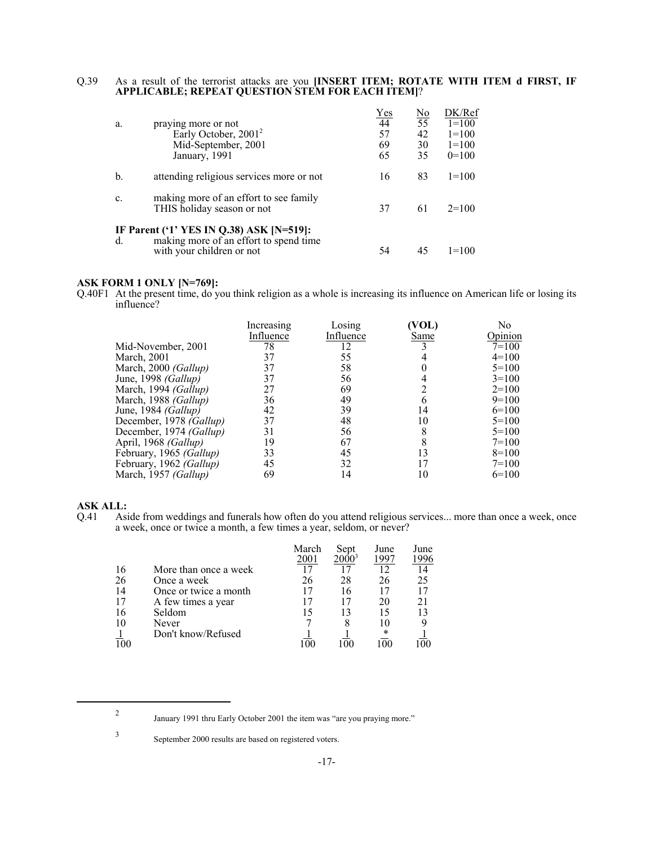#### Q.39 As a result of the terrorist attacks are you **[INSERT ITEM; ROTATE WITH ITEM d FIRST, IF APPLICABLE; REPEAT QUESTION STEM FOR EACH ITEM]**?

|                |                                                                      | Yes | No | DK/Ref    |
|----------------|----------------------------------------------------------------------|-----|----|-----------|
| a.             | praying more or not                                                  | 44  | 55 | $1=100$   |
|                | Early October, 2001 <sup>2</sup>                                     | 57  | 42 | $1=100$   |
|                | Mid-September, 2001                                                  | 69  | 30 | $1=100$   |
|                | January, 1991                                                        | 65  | 35 | $0=100$   |
| b.             | attending religious services more or not                             | 16  | 83 | $1 = 100$ |
| $\mathbf{c}$ . | making more of an effort to see family<br>THIS holiday season or not | 37  | 61 | $2=100$   |
|                | IF Parent ('1' YES IN Q.38) ASK [N=519]:                             |     |    |           |
| d.             | making more of an effort to spend time<br>with your children or not  | 54  |    | $=100$    |

#### **ASK FORM 1 ONLY [N=769]:**

Q.40F1 At the present time, do you think religion as a whole is increasing its influence on American life or losing its influence?

| Increasing | Losing    | VOL)      | No<br>Opinion |
|------------|-----------|-----------|---------------|
| 78         | 12        |           | $7=100$       |
| 37         | 55        |           | $4=100$       |
| 37         | 58        |           | $5=100$       |
| 37         | 56        |           | $3=100$       |
| 27         | 69        |           | $2=100$       |
| 36         | 49        | 6         | $9=100$       |
| 42         | 39        | 14        | $6=100$       |
| 37         | 48        | 10        | $5=100$       |
| 31         | 56        | 8         | $5=100$       |
| 19         | 67        | 8         | $7=100$       |
| 33         | 45        | 13        | $8=100$       |
| 45         | 32        | 17        | $7=100$       |
| 69         | 14        | 10        | $6=100$       |
|            | Influence | Influence | Same          |

# **ASK ALL:**<br>Q.41 **Asi**

Aside from weddings and funerals how often do you attend religious services... more than once a week, once a week, once or twice a month, a few times a year, seldom, or never?

|    |                       | March | Sept     | June | June |
|----|-----------------------|-------|----------|------|------|
|    |                       | 2001  | $2000^3$ | 1997 | 1996 |
| 16 | More than once a week |       |          |      | 14   |
| 26 | Once a week           | 26    | 28       | 26   | 25   |
| 14 | Once or twice a month |       | 16       |      | 17   |
| 17 | A few times a year    |       | 17       | 20   | 21   |
| 16 | Seldom                |       | 13       |      | 13   |
| 10 | Never                 |       | 8        |      |      |
|    | Don't know/Refused    |       |          |      |      |
|    |                       |       |          |      |      |

<sup>2</sup> January 1991 thru Early October 2001 the item was "are you praying more."

<sup>3</sup> September 2000 results are based on registered voters.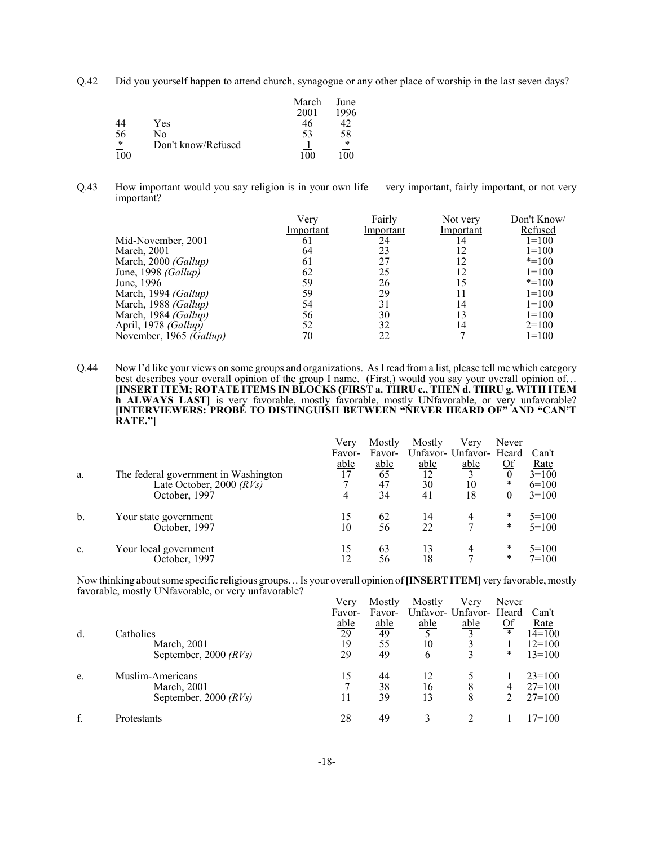Q.42 Did you yourself happen to attend church, synagogue or any other place of worship in the last seven days?

|     |                    | March | June |
|-----|--------------------|-------|------|
|     |                    | 2001  | 1996 |
| 44  | Yes                |       |      |
| 56  | No                 | 53    | 58   |
| *   | Don't know/Refused |       | *    |
| 100 |                    | 100   |      |

Q.43 How important would you say religion is in your own life — very important, fairly important, or not very important?

|                             | Verv      | Fairly    | Not very  | Don't Know/ |
|-----------------------------|-----------|-----------|-----------|-------------|
|                             | Important | Important | Important | Refused     |
| Mid-November, 2001          | 61        | 24        | 14        | $1=100$     |
| March, 2001                 | 64        | 23        | 12        | $1=100$     |
| March, 2000 (Gallup)        | 61        | 27        | 12        | $* = 100$   |
| June, 1998 (Gallup)         | 62        | 25        | 12        | $1=100$     |
| June, 1996                  | 59        | 26        | 15        | $* = 100$   |
| March, 1994 (Gallup)        | 59        | 29        |           | $1=100$     |
| March, 1988 (Gallup)        | 54        | 31        | 14        | $1=100$     |
| March, 1984 (Gallup)        | 56        | 30        | 13        | $1=100$     |
| April, 1978 <i>(Gallup)</i> | 52        | 32        | 14        | $2=100$     |
| November, 1965 (Gallup)     | 70        | 22        |           | $1 = 100$   |

Q.44 Now I'd like your views on some groups and organizations. As I read from a list, please tell me which category best describes your overall opinion of the group I name. (First,) would you say your overall opinion of… **[INSERT ITEM; ROTATE ITEMS IN BLOCKS (FIRST a. THRU c., THEN d. THRU g. WITH ITEM h ALWAYS LAST**] is very favorable, mostly favorable, mostly UNfavorable, or very unfavorable? **[INTERVIEWERS: PROBE TO DISTINGUISH BETWEEN "NEVER HEARD OF" AND "CAN'T RATE."]**

|                |                                      | Verv        | Mostly | Mostly | Verv                    | Never     |             |
|----------------|--------------------------------------|-------------|--------|--------|-------------------------|-----------|-------------|
|                |                                      | Favor-      | Favor- |        | Unfavor- Unfavor- Heard |           | Can't       |
|                |                                      | <u>able</u> | able   | able   | able                    | <u>Of</u> | <u>Rate</u> |
| a.             | The federal government in Washington | 17          | 65     | 12     | $\mathbf{c}$            | $\theta$  | $3=100$     |
|                | Late October, 2000 $(RVs)$           |             | 47     | 30     | 10                      | *         | $6=100$     |
|                | October, 1997                        | 4           | 34     | 41     | 18                      | 0         | $3=100$     |
| b.             | Your state government                | 15          | 62     | 14     |                         | *         | $5=100$     |
|                | October, 1997                        | 10          | 56     | 22     |                         | *         | $5=100$     |
| $\mathbf{c}$ . | Your local government                | 15          | 63     | 13     | 4                       | *         | $5=100$     |
|                | October, 1997                        | 12          | 56     | 18     |                         | *         | $7=100$     |

Now thinking about some specific religious groups… Is your overall opinion of **[INSERT ITEM]** very favorable, mostly favorable, mostly UNfavorable, or very unfavorable?

|    |                         | Verv              | Mostly | Mostly | Verv                    | Never          |            |
|----|-------------------------|-------------------|--------|--------|-------------------------|----------------|------------|
|    |                         | Favor-            | Favor- |        | Unfavor- Unfavor- Heard |                | Can't      |
|    |                         | $\frac{able}{29}$ | able   | able   | able                    | $\frac{Of}{*}$ | Rate       |
| d. | Catholics               |                   | 49     |        |                         |                | $14=100$   |
|    | March, 2001             | 19                | 55     | 10     |                         |                | $12=100$   |
|    | September, 2000 $(RVs)$ | 29                | 49     | 6      |                         | *              | $13 = 100$ |
| e. | Muslim-Americans        | 15                | 44     | 12     |                         |                | $23 = 100$ |
|    | March, 2001             |                   | 38     | 16     | 8                       | 4              | $27=100$   |
|    | September, 2000 $(RVs)$ | 11                | 39     | 13     | 8                       |                | $27=100$   |
|    | Protestants             | 28                | 49     |        |                         |                | $17=100$   |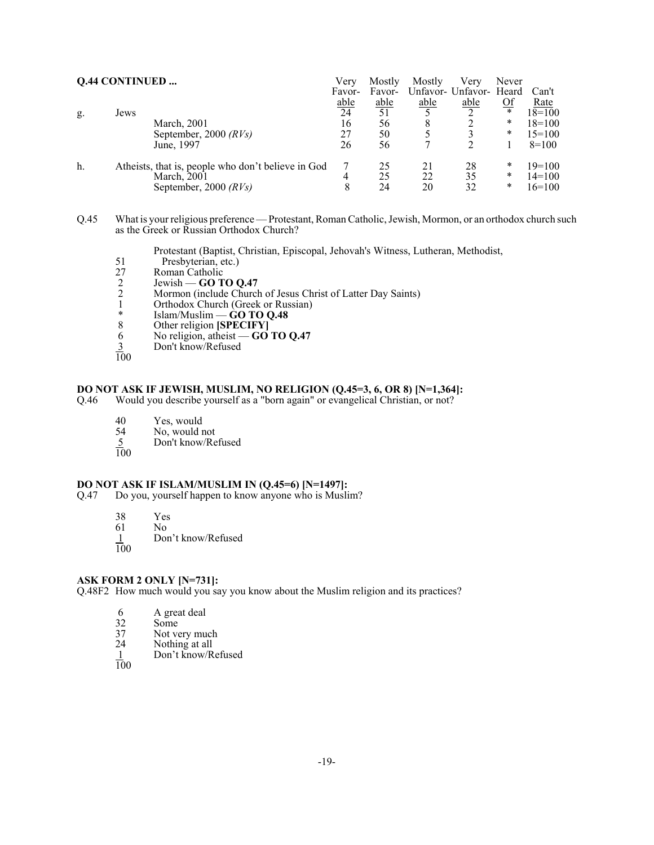|    | <b>Q.44 CONTINUED </b>                             | Very        | Mostly      | Mostly      | Verv                    | Never     |             |
|----|----------------------------------------------------|-------------|-------------|-------------|-------------------------|-----------|-------------|
|    |                                                    | Favor-      | Favor-      |             | Unfavor- Unfavor- Heard |           | Can't       |
|    |                                                    | <u>able</u> | <u>able</u> | <u>able</u> | <u>able</u>             | <u>Of</u> | <u>Rate</u> |
| g. | Jews                                               | 24          | 51          |             | ◠                       | $\ast$    | $18=100$    |
|    | March, 2001                                        | 16          | 56          | 8           |                         | *         | $18=100$    |
|    | September, 2000 $(RV_s)$                           | 27          | 50          |             |                         | *         | $15=100$    |
|    | June, 1997                                         | 26          | 56          |             |                         |           | $8=100$     |
| h. | Atheists, that is, people who don't believe in God |             | 25          | 21          | 28                      | *         | $19=100$    |
|    | March, 2001                                        | 4           | 25          | 22          | 35                      | *         | $14=100$    |
|    | September, 2000 $(RV_s)$                           | 8           | 24          | 20          | 32                      | *         | $16=100$    |

Q.45 What is your religious preference — Protestant, Roman Catholic, Jewish, Mormon, or an orthodox church such as the Greek or Russian Orthodox Church?

Protestant (Baptist, Christian, Episcopal, Jehovah's Witness, Lutheran, Methodist,

- 
- Roman Catholic
- 51 Presbyterian, etc.)<br>
27 Roman Catholic<br>
2 Jewish  **GO TO C**<br>
2 Mormon (include Ch 2 Jewish — **GO TO Q.47**
- 2 Mormon (include Church of Jesus Christ of Latter Day Saints)<br>1 Orthodox Church (Greek or Russian)
- 1 Orthodox Church (Greek or Russian)<br>  $*$  Islam/Muslim CO TO O 48
- \* Islam/Muslim **GO TO Q.48**
- 8 Other religion **[SPECIFY]**
- 6 No religion, atheist **GO TO Q.47**
- Don't know/Refused  $rac{3}{100}$
- 

# **DO NOT ASK IF JEWISH, MUSLIM, NO RELIGION (Q.45=3, 6, OR 8) [N=1,364]:** Q.46 Would you describe yourself as a "born again" or evangelical Christian, or not?

Would you describe yourself as a "born again" or evangelical Christian, or not?

- 40 Yes, would
- No, would not  $\frac{54}{100}$
- 5 Don't know/Refused
- 

#### **DO NOT ASK IF ISLAM/MUSLIM IN (Q.45=6) [N=1497]:**

- Q.47 Do you, yourself happen to know anyone who is Muslim?
	- 38 Yes
	- $No$
	- Don't know/Refused  $\frac{1}{100}$

# **ASK FORM 2 ONLY [N=731]:**

Q.48F2 How much would you say you know about the Muslim religion and its practices?

- 
- 6 A great deal<br>32 Some<br>37 Not very mu Some
- 37 Not very much<br>24 Nothing at all
- 24 Nothing at all  $\frac{1}{1}$  Don't know/R
- Don't know/Refused
- 100